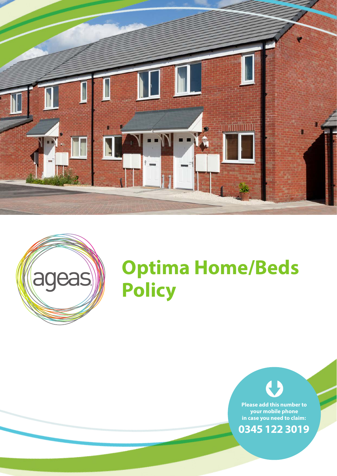



# **Optima Home/Beds Policy**

### O **Please add this number to your mobile phone in case you need to claim:**

**0345 122 3019**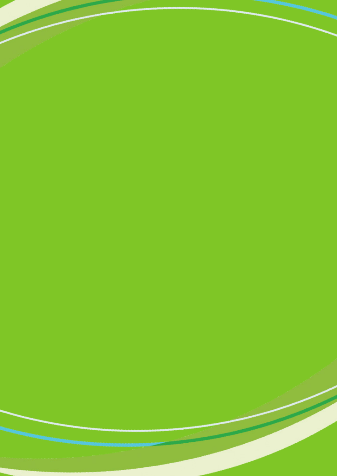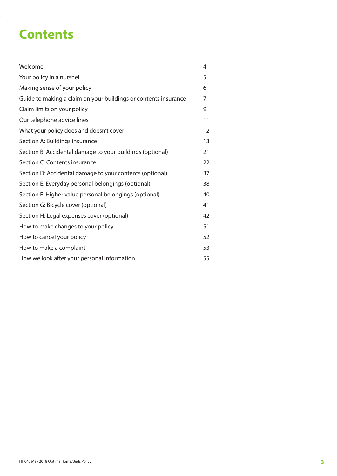# **Contents**

| Welcome                                                         | 4  |
|-----------------------------------------------------------------|----|
| Your policy in a nutshell                                       | 5  |
| Making sense of your policy                                     | 6  |
| Guide to making a claim on your buildings or contents insurance | 7  |
| Claim limits on your policy                                     | 9  |
| Our telephone advice lines                                      | 11 |
| What your policy does and doesn't cover                         | 12 |
| Section A: Buildings insurance                                  | 13 |
| Section B: Accidental damage to your buildings (optional)       | 21 |
| Section C: Contents insurance                                   | 22 |
| Section D: Accidental damage to your contents (optional)        | 37 |
| Section E: Everyday personal belongings (optional)              | 38 |
| Section F: Higher value personal belongings (optional)          | 40 |
| Section G: Bicycle cover (optional)                             | 41 |
| Section H: Legal expenses cover (optional)                      | 42 |
| How to make changes to your policy                              | 51 |
| How to cancel your policy                                       | 52 |
| How to make a complaint                                         | 53 |
| How we look after your personal information                     | 55 |

Í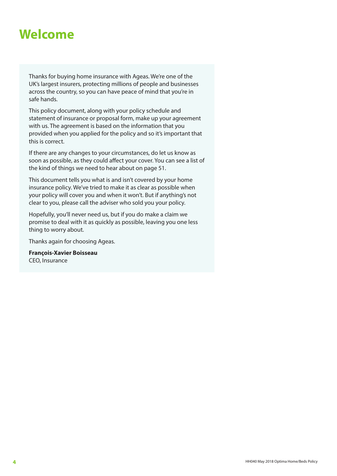## **Welcome**

Thanks for buying home insurance with Ageas. We're one of the UK's largest insurers, protecting millions of people and businesses across the country, so you can have peace of mind that you're in safe hands.

This policy document, along with your policy schedule and statement of insurance or proposal form, make up your agreement with us. The agreement is based on the information that you provided when you applied for the policy and so it's important that this is correct.

If there are any changes to your circumstances, do let us know as soon as possible, as they could affect your cover. You can see a list of the kind of things we need to hear about on page 51.

This document tells you what is and isn't covered by your home insurance policy. We've tried to make it as clear as possible when your policy will cover you and when it won't. But if anything's not clear to you, please call the adviser who sold you your policy.

Hopefully, you'll never need us, but if you do make a claim we promise to deal with it as quickly as possible, leaving you one less thing to worry about.

Thanks again for choosing Ageas.

**François-Xavier Boisseau** CEO, Insurance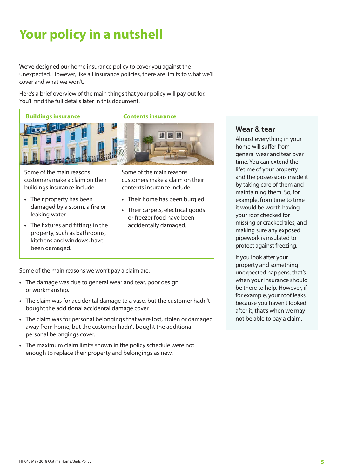# **Your policy in a nutshell**

We've designed our home insurance policy to cover you against the unexpected. However, like all insurance policies, there are limits to what we'll cover and what we won't.

Here's a brief overview of the main things that your policy will pay out for. You'll find the full details later in this document.



Some of the main reasons customers make a claim on their buildings insurance include:

- **•** Their property has been damaged by a storm, a fire or leaking water.
- **•** The fixtures and fittings in the property, such as bathrooms, kitchens and windows, have been damaged.

Some of the main reasons customers make a claim on their contents insurance include:

- **•** Their home has been burgled.
- **•** Their carpets, electrical goods or freezer food have been accidentally damaged.

Some of the main reasons we won't pay a claim are:

- **•** The damage was due to general wear and tear, poor design or workmanship.
- **•** The claim was for accidental damage to a vase, but the customer hadn't bought the additional accidental damage cover.
- **•** The claim was for personal belongings that were lost, stolen or damaged away from home, but the customer hadn't bought the additional personal belongings cover.
- **•** The maximum claim limits shown in the policy schedule were not enough to replace their property and belongings as new.

#### **Wear & tear**

Almost everything in your home will suffer from general wear and tear over time. You can extend the lifetime of your property and the possessions inside it by taking care of them and maintaining them. So, for example, from time to time it would be worth having your roof checked for missing or cracked tiles, and making sure any exposed pipework is insulated to protect against freezing.

If you look after your property and something unexpected happens, that's when your insurance should be there to help. However, if for example, your roof leaks because you haven't looked after it, that's when we may not be able to pay a claim.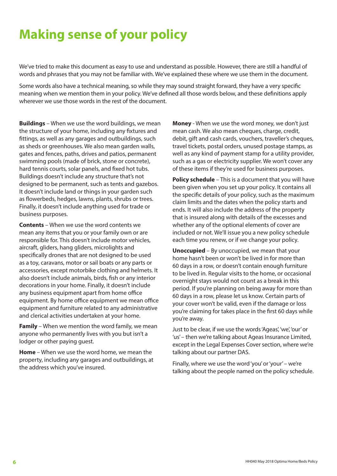# **Making sense of your policy**

We've tried to make this document as easy to use and understand as possible. However, there are still a handful of words and phrases that you may not be familiar with. We've explained these where we use them in the document.

Some words also have a technical meaning, so while they may sound straight forward, they have a very specific meaning when we mention them in your policy. We've defined all those words below, and these definitions apply wherever we use those words in the rest of the document.

**Buildings** – When we use the word buildings, we mean the structure of your home, including any fixtures and fittings, as well as any garages and outbuildings, such as sheds or greenhouses. We also mean garden walls, gates and fences, paths, drives and patios, permanent swimming pools (made of brick, stone or concrete), hard tennis courts, solar panels, and fixed hot tubs. Buildings doesn't include any structure that's not designed to be permanent, such as tents and gazebos. It doesn't include land or things in your garden such as flowerbeds, hedges, lawns, plants, shrubs or trees. Finally, it doesn't include anything used for trade or business purposes.

**Contents** – When we use the word contents we mean any items that you or your family own or are responsible for. This doesn't include motor vehicles, aircraft, gliders, hang gliders, microlights and specifically drones that are not designed to be used as a toy, caravans, motor or sail boats or any parts or accessories, except motorbike clothing and helmets. It also doesn't include animals, birds, fish or any interior decorations in your home. Finally, it doesn't include any business equipment apart from home office equipment. By home office equipment we mean office equipment and furniture related to any administrative and clerical activities undertaken at your home.

**Family** – When we mention the word family, we mean anyone who permanently lives with you but isn't a lodger or other paying guest.

**Home** – When we use the word home, we mean the property, including any garages and outbuildings, at the address which you've insured.

**Money** - When we use the word money, we don't just mean cash. We also mean cheques, charge, credit, debit, gift and cash cards, vouchers, traveller's cheques, travel tickets, postal orders, unused postage stamps, as well as any kind of payment stamp for a utility provider, such as a gas or electricity supplier. We won't cover any of these items if they're used for business purposes.

**Policy schedule** – This is a document that you will have been given when you set up your policy. It contains all the specific details of your policy, such as the maximum claim limits and the dates when the policy starts and ends. It will also include the address of the property that is insured along with details of the excesses and whether any of the optional elements of cover are included or not. We'll issue you a new policy schedule each time you renew, or if we change your policy.

**Unoccupied** – By unoccupied, we mean that your home hasn't been or won't be lived in for more than 60 days in a row, or doesn't contain enough furniture to be lived in. Regular visits to the home, or occasional overnight stays would not count as a break in this period. If you're planning on being away for more than 60 days in a row, please let us know. Certain parts of your cover won't be valid, even if the damage or loss you're claiming for takes place in the first 60 days while you're away.

Just to be clear, if we use the words 'Ageas', 'we', 'our' or 'us' – then we're talking about Ageas Insurance Limited, except in the Legal Expenses Cover section, where we're talking about our partner DAS.

Finally, where we use the word 'you' or 'your' – we're talking about the people named on the policy schedule.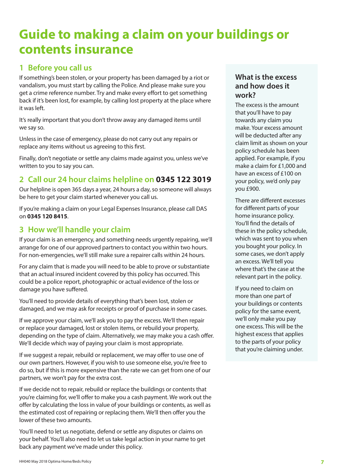# **Guide to making a claim on your buildings or contents insurance**

#### **1 Before you call us**

If something's been stolen, or your property has been damaged by a riot or vandalism, you must start by calling the Police. And please make sure you get a crime reference number. Try and make every effort to get something back if it's been lost, for example, by calling lost property at the place where it was left.

It's really important that you don't throw away any damaged items until we say so.

Unless in the case of emergency, please do not carry out any repairs or replace any items without us agreeing to this first.

Finally, don't negotiate or settle any claims made against you, unless we've written to you to say you can.

### **2 Call our 24 hour claims helpline on 0345 122 3019**

Our helpline is open 365 days a year, 24 hours a day, so someone will always be here to get your claim started whenever you call us.

If you're making a claim on your Legal Expenses Insurance, please call DAS on **0345 120 8415**.

#### **3 How we'll handle your claim**

If your claim is an emergency, and something needs urgently repairing, we'll arrange for one of our approved partners to contact you within two hours. For non-emergencies, we'll still make sure a repairer calls within 24 hours.

For any claim that is made you will need to be able to prove or substantiate that an actual insured incident covered by this policy has occurred. This could be a police report, photographic or actual evidence of the loss or damage you have suffered.

You'll need to provide details of everything that's been lost, stolen or damaged, and we may ask for receipts or proof of purchase in some cases.

If we approve your claim, we'll ask you to pay the excess. We'll then repair or replace your damaged, lost or stolen items, or rebuild your property, depending on the type of claim. Alternatively, we may make you a cash offer. We'll decide which way of paying your claim is most appropriate.

If we suggest a repair, rebuild or replacement, we may offer to use one of our own partners. However, if you wish to use someone else, you're free to do so, but if this is more expensive than the rate we can get from one of our partners, we won't pay for the extra cost.

If we decide not to repair, rebuild or replace the buildings or contents that you're claiming for, we'll offer to make you a cash payment. We work out the offer by calculating the loss in value of your buildings or contents, as well as the estimated cost of repairing or replacing them. We'll then offer you the lower of these two amounts.

You'll need to let us negotiate, defend or settle any disputes or claims on your behalf. You'll also need to let us take legal action in your name to get back any payment we've made under this policy.

#### **What is the excess and how does it work?**

The excess is the amount that you'll have to pay towards any claim you make. Your excess amount will be deducted after any claim limit as shown on your policy schedule has been applied. For example, if you make a claim for £1,000 and have an excess of £100 on your policy, we'd only pay you £900.

There are different excesses for different parts of your home insurance policy. You'll find the details of these in the policy schedule, which was sent to you when you bought your policy. In some cases, we don't apply an excess. We'll tell you where that's the case at the relevant part in the policy.

If you need to claim on more than one part of your buildings or contents policy for the same event, we'll only make you pay one excess. This will be the highest excess that applies to the parts of your policy that you're claiming under.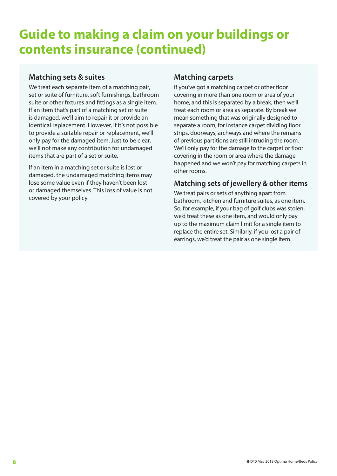# **Guide to making a claim on your buildings or contents insurance (continued)**

#### **Matching sets & suites**

We treat each separate item of a matching pair, set or suite of furniture, soft furnishings, bathroom suite or other fixtures and fittings as a single item. If an item that's part of a matching set or suite is damaged, we'll aim to repair it or provide an identical replacement. However, if it's not possible to provide a suitable repair or replacement, we'll only pay for the damaged item. Just to be clear, we'll not make any contribution for undamaged items that are part of a set or suite.

If an item in a matching set or suite is lost or damaged, the undamaged matching items may lose some value even if they haven't been lost or damaged themselves. This loss of value is not covered by your policy.

#### **Matching carpets**

If you've got a matching carpet or other floor covering in more than one room or area of your home, and this is separated by a break, then we'll treat each room or area as separate. By break we mean something that was originally designed to separate a room, for instance carpet dividing floor strips, doorways, archways and where the remains of previous partitions are still intruding the room. We'll only pay for the damage to the carpet or floor covering in the room or area where the damage happened and we won't pay for matching carpets in other rooms.

#### **Matching sets of jewellery & other items**

We treat pairs or sets of anything apart from bathroom, kitchen and furniture suites, as one item. So, for example, if your bag of golf clubs was stolen, we'd treat these as one item, and would only pay up to the maximum claim limit for a single item to replace the entire set. Similarly, if you lost a pair of earrings, we'd treat the pair as one single item.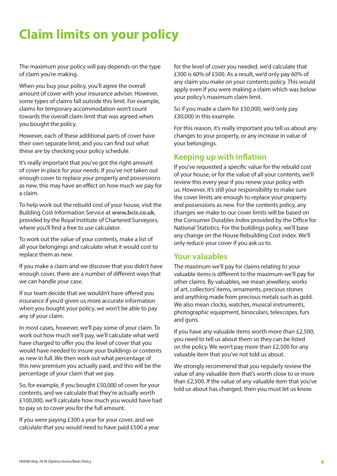# **Claim limits on your policy**

The maximum your policy will pay depends on the type of claim you're making.

When you buy your policy, you'll agree the overall amount of cover with your insurance adviser. However, some types of claims fall outside this limit. For example, claims for temporary accommodation won't count towards the overall claim limit that was agreed when you bought the policy.

However, each of these additional parts of cover have their own separate limit, and you can find out what these are by checking your policy schedule.

It's really important that you've got the right amount of cover in place for your needs. If you've not taken out enough cover to replace your property and possessions as new, this may have an effect on how much we pay for a claim.

To help work out the rebuild cost of your house, visit the Building Cost Information Service at **www.bcis.co.uk**, provided by the Royal Institute of Chartered Surveyors, where you'll find a free to use calculator.

To work out the value of your contents, make a list of all your belongings and calculate what it would cost to replace them as new.

If you make a claim and we discover that you didn't have enough cover, there are a number of different ways that we can handle your case.

If our team decide that we wouldn't have offered you insurance if you'd given us more accurate information when you bought your policy, we won't be able to pay any of your claim.

In most cases, however, we'll pay some of your claim. To work out how much we'll pay, we'll calculate what we'd have charged to offer you the level of cover that you would have needed to insure your buildings or contents as new in full. We then work out what percentage of this new premium you actually paid, and this will be the percentage of your claim that we pay.

So, for example, if you bought £50,000 of cover for your contents, and we calculate that they're actually worth £100,000, we'll calculate how much you would have had to pay us to cover you for the full amount.

If you were paying £300 a year for your cover, and we calculate that you would need to have paid £500 a year for the level of cover you needed, we'd calculate that £300 is 60% of £500. As a result, we'd only pay 60% of any claim you make on your contents policy. This would apply even if you were making a claim which was below your policy's maximum claim limit.

So if you made a claim for £50,000, we'd only pay £30,000 in this example.

For this reason, it's really important you tell us about any changes to your property, or any increase in value of your belongings.

#### **Keeping up with inflation**

If you've requested a specific value for the rebuild cost of your house, or for the value of all your contents, we'll review this every year if you renew your policy with us. However, it's still your responsibility to make sure the cover limits are enough to replace your property and possessions as new. For the contents policy, any changes we make to our cover limits will be based on the Consumer Durables Index provided by the Office for National Statistics. For the buildings policy, we'll base any change on the House Rebuilding Cost index. We'll only reduce your cover if you ask us to.

#### **Your valuables**

The maximum we'll pay for claims relating to your valuable items is different to the maximum we'll pay for other claims. By valuables, we mean jewellery, works of art, collectors' items, ornaments, precious stones and anything made from precious metals such as gold. We also mean clocks, watches, musical instruments, photographic equipment, binoculars, telescopes, furs and guns.

If you have any valuable items worth more than £2,500, you need to tell us about them so they can be listed on the policy. We won't pay more than £2,500 for any valuable item that you've not told us about.

We strongly recommend that you regularly review the value of any valuable item that's worth close to or more than £2,500. If the value of any valuable item that you've told us about has changed, then you must let us know.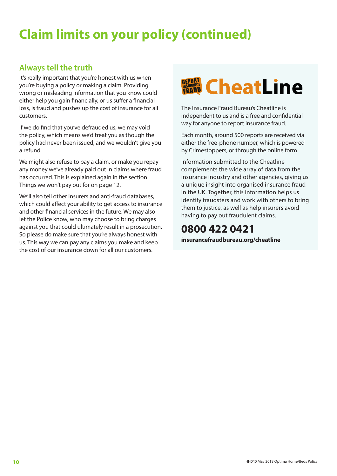# **Claim limits on your policy (continued)**

### **Always tell the truth**

It's really important that you're honest with us when you're buying a policy or making a claim. Providing wrong or misleading information that you know could either help you gain financially, or us suffer a financial loss, is fraud and pushes up the cost of insurance for all customers.

If we do find that you've defrauded us, we may void the policy, which means we'd treat you as though the policy had never been issued, and we wouldn't give you a refund.

We might also refuse to pay a claim, or make you repay any money we've already paid out in claims where fraud has occurred. This is explained again in the section Things we won't pay out for on page 12.

We'll also tell other insurers and anti-fraud databases, which could affect your ability to get access to insurance and other financial services in the future. We may also let the Police know, who may choose to bring charges against you that could ultimately result in a prosecution. So please do make sure that you're always honest with us. This way we can pay any claims you make and keep the cost of our insurance down for all our customers.

# 

The Insurance Fraud Bureau's Cheatline is independent to us and is a free and confidential way for anyone to report insurance fraud.

Each month, around 500 reports are received via either the free-phone number, which is powered by Crimestoppers, or through the online form.

Information submitted to the Cheatline complements the wide array of data from the insurance industry and other agencies, giving us a unique insight into organised insurance fraud in the UK. Together, this information helps us identify fraudsters and work with others to bring them to justice, as well as help insurers avoid having to pay out fraudulent claims.

## **0800 422 0421**

**insurancefraudbureau.org/cheatline**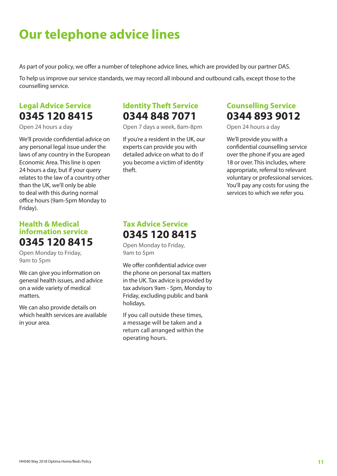# **Our telephone advice lines**

As part of your policy, we offer a number of telephone advice lines, which are provided by our partner DAS.

To help us improve our service standards, we may record all inbound and outbound calls, except those to the counselling service.

### **Legal Advice Service 0345 120 8415**

Open 24 hours a day

We'll provide confidential advice on any personal legal issue under the laws of any country in the European Economic Area. This line is open 24 hours a day, but if your query relates to the law of a country other than the UK, we'll only be able to deal with this during normal office hours (9am-5pm Monday to Friday).

#### **Health & Medical information service 0345 120 8415**

Open Monday to Friday, 9am to 5pm

We can give you information on general health issues, and advice on a wide variety of medical matters.

We can also provide details on which health services are available in your area.

### **Identity Theft Service 0344 848 7071**

Open 7 days a week, 8am-8pm

If you're a resident in the UK, our experts can provide you with detailed advice on what to do if you become a victim of identity theft.

## **Counselling Service 0344 893 9012**

Open 24 hours a day

We'll provide you with a confidential counselling service over the phone if you are aged 18 or over. This includes, where appropriate, referral to relevant voluntary or professional services. You'll pay any costs for using the services to which we refer you.

### **Tax Advice Service 0345 120 8415**

Open Monday to Friday, 9am to 5pm

We offer confidential advice over the phone on personal tax matters in the UK. Tax advice is provided by tax advisors 9am - 5pm, Monday to Friday, excluding public and bank holidays.

If you call outside these times, a message will be taken and a return call arranged within the operating hours.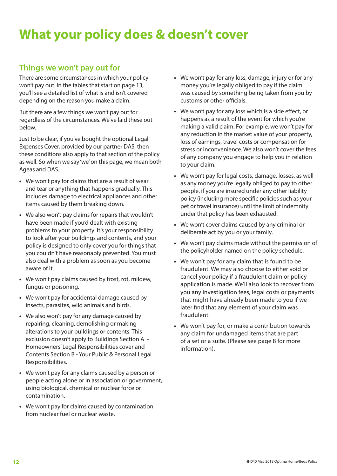# **What your policy does & doesn't cover**

### **Things we won't pay out for**

There are some circumstances in which your policy won't pay out. In the tables that start on page 13, you'll see a detailed list of what is and isn't covered depending on the reason you make a claim.

But there are a few things we won't pay out for regardless of the circumstances. We've laid these out below.

Just to be clear, if you've bought the optional Legal Expenses Cover, provided by our partner DAS, then these conditions also apply to that section of the policy as well. So when we say 'we' on this page, we mean both Ageas and DAS.

- **•** We won't pay for claims that are a result of wear and tear or anything that happens gradually. This includes damage to electrical appliances and other items caused by them breaking down.
- **•** We also won't pay claims for repairs that wouldn't have been made if you'd dealt with existing problems to your property. It's your responsibility to look after your buildings and contents, and your policy is designed to only cover you for things that you couldn't have reasonably prevented. You must also deal with a problem as soon as you become aware of it.
- **•** We won't pay claims caused by frost, rot, mildew, fungus or poisoning.
- **•** We won't pay for accidental damage caused by insects, parasites, wild animals and birds.
- **•** We also won't pay for any damage caused by repairing, cleaning, demolishing or making alterations to your buildings or contents. This exclusion doesn't apply to Buildings Section A - Homeowners' Legal Responsibilities cover and Contents Section B - Your Public & Personal Legal Responsibilities.
- **•** We won't pay for any claims caused by a person or people acting alone or in association or government, using biological, chemical or nuclear force or contamination.
- **•** We won't pay for claims caused by contamination from nuclear fuel or nuclear waste.
- **•** We won't pay for any loss, damage, injury or for any money you're legally obliged to pay if the claim was caused by something being taken from you by customs or other officials.
- **•** We won't pay for any loss which is a side effect, or happens as a result of the event for which you're making a valid claim. For example, we won't pay for any reduction in the market value of your property, loss of earnings, travel costs or compensation for stress or inconvenience. We also won't cover the fees of any company you engage to help you in relation to your claim.
- **•** We won't pay for legal costs, damage, losses, as well as any money you're legally obliged to pay to other people, if you are insured under any other liability policy (including more specific policies such as your pet or travel insurance) until the limit of indemnity under that policy has been exhausted.
- **•** We won't cover claims caused by any criminal or deliberate act by you or your family.
- **•** We won't pay claims made without the permission of the policyholder named on the policy schedule.
- **•** We won't pay for any claim that is found to be fraudulent. We may also choose to either void or cancel your policy if a fraudulent claim or policy application is made. We'll also look to recover from you any investigation fees, legal costs or payments that might have already been made to you if we later find that any element of your claim was fraudulent.
- **•** We won't pay for, or make a contribution towards any claim for undamaged items that are part of a set or a suite. (Please see page 8 for more information).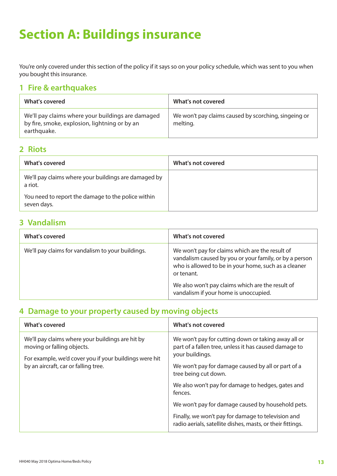# **Section A: Buildings insurance**

You're only covered under this section of the policy if it says so on your policy schedule, which was sent to you when you bought this insurance.

#### **1 Fire & earthquakes**

| What's covered                                                                                                    | What's not covered                                               |
|-------------------------------------------------------------------------------------------------------------------|------------------------------------------------------------------|
| We'll pay claims where your buildings are damaged<br>by fire, smoke, explosion, lightning or by an<br>earthquake. | We won't pay claims caused by scorching, singeing or<br>melting. |

#### **2 Riots**

| What's covered                                                    | What's not covered |
|-------------------------------------------------------------------|--------------------|
| We'll pay claims where your buildings are damaged by<br>a riot.   |                    |
| You need to report the damage to the police within<br>seven days. |                    |

### **3 Vandalism**

| What's covered                                    | What's not covered                                                                                                                                                                                                                                                           |
|---------------------------------------------------|------------------------------------------------------------------------------------------------------------------------------------------------------------------------------------------------------------------------------------------------------------------------------|
| We'll pay claims for vandalism to your buildings. | We won't pay for claims which are the result of<br>vandalism caused by you or your family, or by a person<br>who is allowed to be in your home, such as a cleaner<br>or tenant.<br>We also won't pay claims which are the result of<br>vandalism if your home is unoccupied. |

### **4 Damage to your property caused by moving objects**

| What's covered                                                                 | What's not covered                                                                                               |
|--------------------------------------------------------------------------------|------------------------------------------------------------------------------------------------------------------|
| We'll pay claims where your buildings are hit by<br>moving or falling objects. | We won't pay for cutting down or taking away all or<br>part of a fallen tree, unless it has caused damage to     |
| For example, we'd cover you if your buildings were hit                         | your buildings.                                                                                                  |
| by an aircraft, car or falling tree.                                           | We won't pay for damage caused by all or part of a<br>tree being cut down.                                       |
|                                                                                | We also won't pay for damage to hedges, gates and<br>fences.                                                     |
|                                                                                | We won't pay for damage caused by household pets.                                                                |
|                                                                                | Finally, we won't pay for damage to television and<br>radio aerials, satellite dishes, masts, or their fittings. |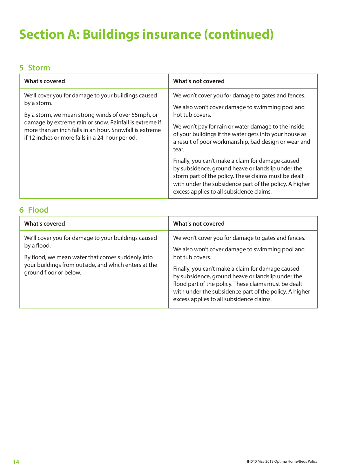### **5 Storm**

| <b>What's covered</b>                                                                                                                                                                                                                                                                            | What's not covered                                                                                                                                                                                                                                                                                         |
|--------------------------------------------------------------------------------------------------------------------------------------------------------------------------------------------------------------------------------------------------------------------------------------------------|------------------------------------------------------------------------------------------------------------------------------------------------------------------------------------------------------------------------------------------------------------------------------------------------------------|
| We'll cover you for damage to your buildings caused<br>by a storm.<br>By a storm, we mean strong winds of over 55mph, or<br>damage by extreme rain or snow. Rainfall is extreme if<br>more than an inch falls in an hour. Snowfall is extreme<br>if 12 inches or more falls in a 24-hour period. | We won't cover you for damage to gates and fences.<br>We also won't cover damage to swimming pool and<br>hot tub covers.<br>We won't pay for rain or water damage to the inside<br>of your buildings if the water gets into your house as<br>a result of poor workmanship, bad design or wear and<br>tear. |
|                                                                                                                                                                                                                                                                                                  | Finally, you can't make a claim for damage caused<br>by subsidence, ground heave or landslip under the<br>storm part of the policy. These claims must be dealt<br>with under the subsidence part of the policy. A higher<br>excess applies to all subsidence claims.                                       |

### **6 Flood**

| <b>What's covered</b>                                                                                                                                                                                    | What's not covered                                                                                                                                                                                                                                                                                                                                                                               |
|----------------------------------------------------------------------------------------------------------------------------------------------------------------------------------------------------------|--------------------------------------------------------------------------------------------------------------------------------------------------------------------------------------------------------------------------------------------------------------------------------------------------------------------------------------------------------------------------------------------------|
| We'll cover you for damage to your buildings caused<br>by a flood.<br>By flood, we mean water that comes suddenly into<br>your buildings from outside, and which enters at the<br>ground floor or below. | We won't cover you for damage to gates and fences.<br>We also won't cover damage to swimming pool and<br>hot tub covers.<br>Finally, you can't make a claim for damage caused<br>by subsidence, ground heave or landslip under the<br>flood part of the policy. These claims must be dealt<br>with under the subsidence part of the policy. A higher<br>excess applies to all subsidence claims. |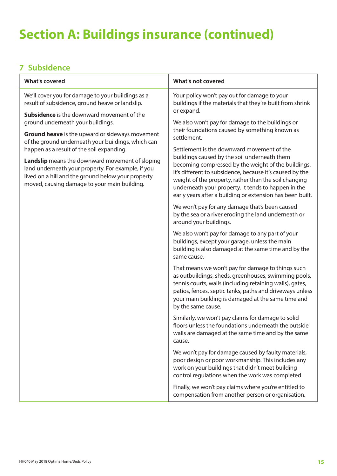### **7 Subsidence**

| <b>What's covered</b>                                                                                                                                                                                                                                           | <b>What's not covered</b>                                                                                                                                                                                                                                                                                                                    |
|-----------------------------------------------------------------------------------------------------------------------------------------------------------------------------------------------------------------------------------------------------------------|----------------------------------------------------------------------------------------------------------------------------------------------------------------------------------------------------------------------------------------------------------------------------------------------------------------------------------------------|
| We'll cover you for damage to your buildings as a<br>result of subsidence, ground heave or landslip.<br><b>Subsidence</b> is the downward movement of the                                                                                                       | Your policy won't pay out for damage to your<br>buildings if the materials that they're built from shrink<br>or expand.                                                                                                                                                                                                                      |
| ground underneath your buildings.                                                                                                                                                                                                                               | We also won't pay for damage to the buildings or<br>their foundations caused by something known as                                                                                                                                                                                                                                           |
| Ground heave is the upward or sideways movement<br>of the ground underneath your buildings, which can                                                                                                                                                           | settlement.<br>Settlement is the downward movement of the                                                                                                                                                                                                                                                                                    |
| happen as a result of the soil expanding.<br><b>Landslip</b> means the downward movement of sloping<br>land underneath your property. For example, if you<br>lived on a hill and the ground below your property<br>moved, causing damage to your main building. | buildings caused by the soil underneath them<br>becoming compressed by the weight of the buildings.<br>It's different to subsidence, because it's caused by the<br>weight of the property, rather than the soil changing<br>underneath your property. It tends to happen in the<br>early years after a building or extension has been built. |
|                                                                                                                                                                                                                                                                 | We won't pay for any damage that's been caused<br>by the sea or a river eroding the land underneath or<br>around your buildings.                                                                                                                                                                                                             |
|                                                                                                                                                                                                                                                                 | We also won't pay for damage to any part of your<br>buildings, except your garage, unless the main<br>building is also damaged at the same time and by the<br>same cause.                                                                                                                                                                    |
|                                                                                                                                                                                                                                                                 | That means we won't pay for damage to things such<br>as outbuildings, sheds, greenhouses, swimming pools,<br>tennis courts, walls (including retaining walls), gates,<br>patios, fences, septic tanks, paths and driveways unless<br>your main building is damaged at the same time and<br>by the same cause.                                |
|                                                                                                                                                                                                                                                                 | Similarly, we won't pay claims for damage to solid<br>floors unless the foundations underneath the outside<br>walls are damaged at the same time and by the same<br>cause.                                                                                                                                                                   |
|                                                                                                                                                                                                                                                                 | We won't pay for damage caused by faulty materials,<br>poor design or poor workmanship. This includes any<br>work on your buildings that didn't meet building<br>control regulations when the work was completed.                                                                                                                            |
|                                                                                                                                                                                                                                                                 | Finally, we won't pay claims where you're entitled to<br>compensation from another person or organisation.                                                                                                                                                                                                                                   |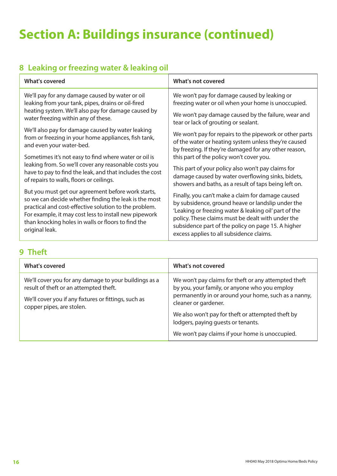### **8 Leaking or freezing water & leaking oil**

| <b>What's covered</b>                                    | <b>What's not covered</b>                               |
|----------------------------------------------------------|---------------------------------------------------------|
| We'll pay for any damage caused by water or oil          | We won't pay for damage caused by leaking or            |
| leaking from your tank, pipes, drains or oil-fired       | freezing water or oil when your home is unoccupied.     |
| heating system. We'll also pay for damage caused by      | We won't pay damage caused by the failure, wear and     |
| water freezing within any of these.                      | tear or lack of grouting or sealant.                    |
| We'll also pay for damage caused by water leaking        | We won't pay for repairs to the pipework or other parts |
| from or freezing in your home appliances, fish tank,     | of the water or heating system unless they're caused    |
| and even your water-bed.                                 | by freezing. If they're damaged for any other reason,   |
| Sometimes it's not easy to find where water or oil is    | this part of the policy won't cover you.                |
| leaking from. So we'll cover any reasonable costs you    | This part of your policy also won't pay claims for      |
| have to pay to find the leak, and that includes the cost | damage caused by water overflowing sinks, bidets,       |
| of repairs to walls, floors or ceilings.                 | showers and baths, as a result of taps being left on.   |
| But you must get our agreement before work starts,       | Finally, you can't make a claim for damage caused       |
| so we can decide whether finding the leak is the most    | by subsidence, ground heave or landslip under the       |
| practical and cost-effective solution to the problem.    | 'Leaking or freezing water & leaking oil' part of the   |
| For example, it may cost less to install new pipework    | policy. These claims must be dealt with under the       |
| than knocking holes in walls or floors to find the       | subsidence part of the policy on page 15. A higher      |
| original leak.                                           | excess applies to all subsidence claims.                |

### **9 Theft**

| What's covered                                                                                                                                                                       | What's not covered                                                                                                                                                                                                                                                                                                                  |
|--------------------------------------------------------------------------------------------------------------------------------------------------------------------------------------|-------------------------------------------------------------------------------------------------------------------------------------------------------------------------------------------------------------------------------------------------------------------------------------------------------------------------------------|
| We'll cover you for any damage to your buildings as a<br>result of theft or an attempted theft.<br>We'll cover you if any fixtures or fittings, such as<br>copper pipes, are stolen. | We won't pay claims for theft or any attempted theft<br>by you, your family, or anyone who you employ<br>permanently in or around your home, such as a nanny,<br>cleaner or gardener.<br>We also won't pay for theft or attempted theft by<br>lodgers, paying guests or tenants.<br>We won't pay claims if your home is unoccupied. |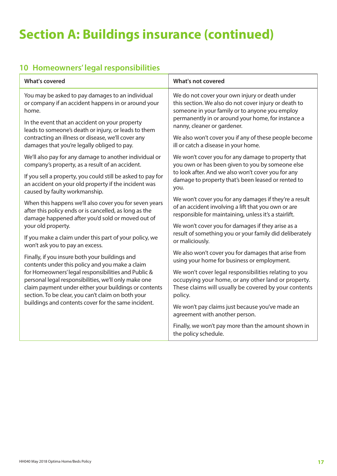### **10 Homeowners' legal responsibilities**

| <b>What's covered</b>                                                                                                                                                                                                                                                                                                                                                                  | <b>What's not covered</b>                                                                                                                                                        |
|----------------------------------------------------------------------------------------------------------------------------------------------------------------------------------------------------------------------------------------------------------------------------------------------------------------------------------------------------------------------------------------|----------------------------------------------------------------------------------------------------------------------------------------------------------------------------------|
| You may be asked to pay damages to an individual<br>or company if an accident happens in or around your<br>home.                                                                                                                                                                                                                                                                       | We do not cover your own injury or death under<br>this section. We also do not cover injury or death to<br>someone in your family or to anyone you employ                        |
| In the event that an accident on your property<br>leads to someone's death or injury, or leads to them                                                                                                                                                                                                                                                                                 | permanently in or around your home, for instance a<br>nanny, cleaner or gardener.                                                                                                |
| contracting an illness or disease, we'll cover any<br>damages that you're legally obliged to pay.                                                                                                                                                                                                                                                                                      | We also won't cover you if any of these people become<br>ill or catch a disease in your home.                                                                                    |
| We'll also pay for any damage to another individual or<br>company's property, as a result of an accident.                                                                                                                                                                                                                                                                              | We won't cover you for any damage to property that<br>you own or has been given to you by someone else                                                                           |
| If you sell a property, you could still be asked to pay for<br>an accident on your old property if the incident was<br>caused by faulty workmanship.                                                                                                                                                                                                                                   | to look after. And we also won't cover you for any<br>damage to property that's been leased or rented to<br>you.                                                                 |
| When this happens we'll also cover you for seven years<br>after this policy ends or is cancelled, as long as the<br>damage happened after you'd sold or moved out of                                                                                                                                                                                                                   | We won't cover you for any damages if they're a result<br>of an accident involving a lift that you own or are<br>responsible for maintaining, unless it's a stairlift.           |
| your old property.                                                                                                                                                                                                                                                                                                                                                                     | We won't cover you for damages if they arise as a<br>result of something you or your family did deliberately                                                                     |
| If you make a claim under this part of your policy, we<br>won't ask you to pay an excess.                                                                                                                                                                                                                                                                                              | or maliciously.                                                                                                                                                                  |
| Finally, if you insure both your buildings and<br>contents under this policy and you make a claim<br>for Homeowners' legal responsibilities and Public &<br>personal legal responsibilities, we'll only make one<br>claim payment under either your buildings or contents<br>section. To be clear, you can't claim on both your<br>buildings and contents cover for the same incident. | We also won't cover you for damages that arise from<br>using your home for business or employment.                                                                               |
|                                                                                                                                                                                                                                                                                                                                                                                        | We won't cover legal responsibilities relating to you<br>occupying your home, or any other land or property.<br>These claims will usually be covered by your contents<br>policy. |
|                                                                                                                                                                                                                                                                                                                                                                                        | We won't pay claims just because you've made an<br>agreement with another person.                                                                                                |
|                                                                                                                                                                                                                                                                                                                                                                                        | Finally, we won't pay more than the amount shown in<br>the policy schedule.                                                                                                      |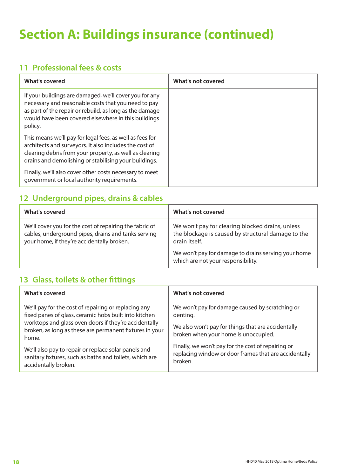### **11 Professional fees & costs**

| What's covered                                                                                                                                                                                                                             | What's not covered |
|--------------------------------------------------------------------------------------------------------------------------------------------------------------------------------------------------------------------------------------------|--------------------|
| If your buildings are damaged, we'll cover you for any<br>necessary and reasonable costs that you need to pay<br>as part of the repair or rebuild, as long as the damage<br>would have been covered elsewhere in this buildings<br>policy. |                    |
| This means we'll pay for legal fees, as well as fees for<br>architects and surveyors. It also includes the cost of<br>clearing debris from your property, as well as clearing<br>drains and demolishing or stabilising your buildings.     |                    |
| Finally, we'll also cover other costs necessary to meet<br>government or local authority requirements.                                                                                                                                     |                    |

### **12 Underground pipes, drains & cables**

| What's covered                                                                                                                                               | What's not covered                                                                                                      |
|--------------------------------------------------------------------------------------------------------------------------------------------------------------|-------------------------------------------------------------------------------------------------------------------------|
| We'll cover you for the cost of repairing the fabric of<br>cables, underground pipes, drains and tanks serving<br>your home, if they're accidentally broken. | We won't pay for clearing blocked drains, unless<br>the blockage is caused by structural damage to the<br>drain itself. |
|                                                                                                                                                              | We won't pay for damage to drains serving your home<br>which are not your responsibility.                               |

### **13 Glass, toilets & other fittings**

| What's covered                                                                                                            | What's not covered                                                                         |
|---------------------------------------------------------------------------------------------------------------------------|--------------------------------------------------------------------------------------------|
| We'll pay for the cost of repairing or replacing any                                                                      | We won't pay for damage caused by scratching or                                            |
| fixed panes of glass, ceramic hobs built into kitchen                                                                     | denting.                                                                                   |
| worktops and glass oven doors if they're accidentally<br>broken, as long as these are permanent fixtures in your<br>home. | We also won't pay for things that are accidentally<br>broken when your home is unoccupied. |
| We'll also pay to repair or replace solar panels and                                                                      | Finally, we won't pay for the cost of repairing or                                         |
| sanitary fixtures, such as baths and toilets, which are                                                                   | replacing window or door frames that are accidentally                                      |
| accidentally broken.                                                                                                      | broken.                                                                                    |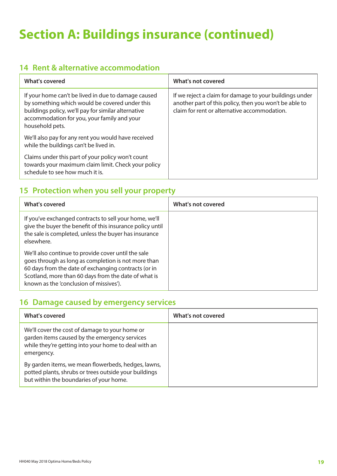### **14 Rent & alternative accommodation**

| What's covered                                                                                                                                                                                                                 | What's not covered                                                                                                                                                |
|--------------------------------------------------------------------------------------------------------------------------------------------------------------------------------------------------------------------------------|-------------------------------------------------------------------------------------------------------------------------------------------------------------------|
| If your home can't be lived in due to damage caused<br>by something which would be covered under this<br>buildings policy, we'll pay for similar alternative<br>accommodation for you, your family and your<br>household pets. | If we reject a claim for damage to your buildings under<br>another part of this policy, then you won't be able to<br>claim for rent or alternative accommodation. |
| We'll also pay for any rent you would have received<br>while the buildings can't be lived in.                                                                                                                                  |                                                                                                                                                                   |
| Claims under this part of your policy won't count<br>towards your maximum claim limit. Check your policy<br>schedule to see how much it is.                                                                                    |                                                                                                                                                                   |

### **15 Protection when you sell your property**

| <b>What's covered</b>                                                                                                                                                                                                                                                 | What's not covered |
|-----------------------------------------------------------------------------------------------------------------------------------------------------------------------------------------------------------------------------------------------------------------------|--------------------|
| If you've exchanged contracts to sell your home, we'll<br>give the buyer the benefit of this insurance policy until<br>the sale is completed, unless the buyer has insurance<br>elsewhere.                                                                            |                    |
| We'll also continue to provide cover until the sale<br>goes through as long as completion is not more than<br>60 days from the date of exchanging contracts (or in<br>Scotland, more than 60 days from the date of what is<br>known as the 'conclusion of missives'). |                    |

### **16 Damage caused by emergency services**

| What's covered                                                                                                                                                        | What's not covered |
|-----------------------------------------------------------------------------------------------------------------------------------------------------------------------|--------------------|
| We'll cover the cost of damage to your home or<br>garden items caused by the emergency services<br>while they're getting into your home to deal with an<br>emergency. |                    |
| By garden items, we mean flowerbeds, hedges, lawns,<br>potted plants, shrubs or trees outside your buildings<br>but within the boundaries of your home.               |                    |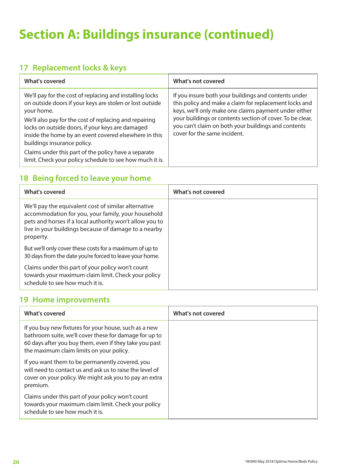### **17 Replacement locks & keys**

| What's covered                                                                                                                                                                                                                                                                                                                           | What's not covered                                                                                                                                                                                                                                                                                                          |
|------------------------------------------------------------------------------------------------------------------------------------------------------------------------------------------------------------------------------------------------------------------------------------------------------------------------------------------|-----------------------------------------------------------------------------------------------------------------------------------------------------------------------------------------------------------------------------------------------------------------------------------------------------------------------------|
| We'll pay for the cost of replacing and installing locks<br>on outside doors if your keys are stolen or lost outside<br>your home.<br>We'll also pay for the cost of replacing and repairing<br>locks on outside doors, if your keys are damaged<br>inside the home by an event covered elsewhere in this<br>buildings insurance policy. | If you insure both your buildings and contents under<br>this policy and make a claim for replacement locks and<br>keys, we'll only make one claims payment under either<br>your buildings or contents section of cover. To be clear,<br>you can't claim on both your buildings and contents<br>cover for the same incident. |
| Claims under this part of the policy have a separate<br>limit. Check your policy schedule to see how much it is.                                                                                                                                                                                                                         |                                                                                                                                                                                                                                                                                                                             |

### **18 Being forced to leave your home**

| What's covered                                                                                                                                                                                                                             | What's not covered |
|--------------------------------------------------------------------------------------------------------------------------------------------------------------------------------------------------------------------------------------------|--------------------|
| We'll pay the equivalent cost of similar alternative<br>accommodation for you, your family, your household<br>pets and horses if a local authority won't allow you to<br>live in your buildings because of damage to a nearby<br>property. |                    |
| But we'll only cover these costs for a maximum of up to<br>30 days from the date you're forced to leave your home.                                                                                                                         |                    |
| Claims under this part of your policy won't count<br>towards your maximum claim limit. Check your policy<br>schedule to see how much it is.                                                                                                |                    |

#### **19 Home improvements**

| What's covered                                                                                                                                                                                                        | What's not covered |
|-----------------------------------------------------------------------------------------------------------------------------------------------------------------------------------------------------------------------|--------------------|
| If you buy new fixtures for your house, such as a new<br>bathroom suite, we'll cover these for damage for up to<br>60 days after you buy them, even if they take you past<br>the maximum claim limits on your policy. |                    |
| If you want them to be permanently covered, you<br>will need to contact us and ask us to raise the level of<br>cover on your policy. We might ask you to pay an extra<br>premium.                                     |                    |
| Claims under this part of your policy won't count<br>towards your maximum claim limit. Check your policy<br>schedule to see how much it is.                                                                           |                    |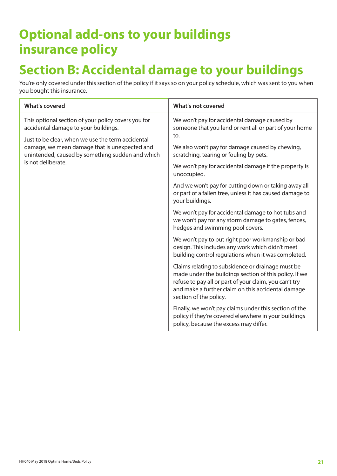# **Optional add-ons to your buildings insurance policy**

# **Section B: Accidental damage to your buildings**

You're only covered under this section of the policy if it says so on your policy schedule, which was sent to you when you bought this insurance.

| <b>What's covered</b>                                                                                                                            | <b>What's not covered</b>                                                                                                                                                                                                                             |
|--------------------------------------------------------------------------------------------------------------------------------------------------|-------------------------------------------------------------------------------------------------------------------------------------------------------------------------------------------------------------------------------------------------------|
| This optional section of your policy covers you for<br>accidental damage to your buildings.<br>Just to be clear, when we use the term accidental | We won't pay for accidental damage caused by<br>someone that you lend or rent all or part of your home<br>to.                                                                                                                                         |
| damage, we mean damage that is unexpected and<br>unintended, caused by something sudden and which<br>is not deliberate.                          | We also won't pay for damage caused by chewing,<br>scratching, tearing or fouling by pets.                                                                                                                                                            |
|                                                                                                                                                  | We won't pay for accidental damage if the property is<br>unoccupied.                                                                                                                                                                                  |
|                                                                                                                                                  | And we won't pay for cutting down or taking away all<br>or part of a fallen tree, unless it has caused damage to<br>your buildings.                                                                                                                   |
|                                                                                                                                                  | We won't pay for accidental damage to hot tubs and<br>we won't pay for any storm damage to gates, fences,<br>hedges and swimming pool covers.                                                                                                         |
|                                                                                                                                                  | We won't pay to put right poor workmanship or bad<br>design. This includes any work which didn't meet<br>building control regulations when it was completed.                                                                                          |
|                                                                                                                                                  | Claims relating to subsidence or drainage must be<br>made under the buildings section of this policy. If we<br>refuse to pay all or part of your claim, you can't try<br>and make a further claim on this accidental damage<br>section of the policy. |
|                                                                                                                                                  | Finally, we won't pay claims under this section of the<br>policy if they're covered elsewhere in your buildings<br>policy, because the excess may differ.                                                                                             |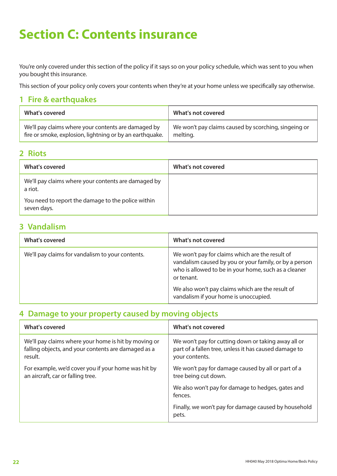# **Section C: Contents insurance**

You're only covered under this section of the policy if it says so on your policy schedule, which was sent to you when you bought this insurance.

This section of your policy only covers your contents when they're at your home unless we specifically say otherwise.

#### **1 Fire & earthquakes**

| What's covered                                           | What's not covered                                   |
|----------------------------------------------------------|------------------------------------------------------|
| We'll pay claims where your contents are damaged by      | We won't pay claims caused by scorching, singeing or |
| fire or smoke, explosion, lightning or by an earthquake. | melting.                                             |

#### **2 Riots**

| What's covered                                                    | What's not covered |
|-------------------------------------------------------------------|--------------------|
| We'll pay claims where your contents are damaged by<br>a riot.    |                    |
| You need to report the damage to the police within<br>seven days. |                    |

#### **3 Vandalism**

| What's covered                                   | What's not covered                                                                                                                                                                                                                                                           |
|--------------------------------------------------|------------------------------------------------------------------------------------------------------------------------------------------------------------------------------------------------------------------------------------------------------------------------------|
| We'll pay claims for vandalism to your contents. | We won't pay for claims which are the result of<br>vandalism caused by you or your family, or by a person<br>who is allowed to be in your home, such as a cleaner<br>or tenant.<br>We also won't pay claims which are the result of<br>vandalism if your home is unoccupied. |

### **4 Damage to your property caused by moving objects**

| What's covered                                                                                                         | What's not covered                                                                                                             |
|------------------------------------------------------------------------------------------------------------------------|--------------------------------------------------------------------------------------------------------------------------------|
| We'll pay claims where your home is hit by moving or<br>falling objects, and your contents are damaged as a<br>result. | We won't pay for cutting down or taking away all or<br>part of a fallen tree, unless it has caused damage to<br>your contents. |
| For example, we'd cover you if your home was hit by<br>an aircraft, car or falling tree.                               | We won't pay for damage caused by all or part of a<br>tree being cut down.                                                     |
|                                                                                                                        | We also won't pay for damage to hedges, gates and<br>fences.                                                                   |
|                                                                                                                        | Finally, we won't pay for damage caused by household<br>pets.                                                                  |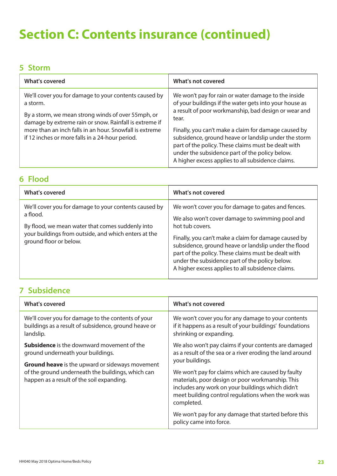### **5 Storm**

| <b>What's covered</b>                                                                                      | What's not covered                                                                                                                                                                                                                                                         |
|------------------------------------------------------------------------------------------------------------|----------------------------------------------------------------------------------------------------------------------------------------------------------------------------------------------------------------------------------------------------------------------------|
| We'll cover you for damage to your contents caused by                                                      | We won't pay for rain or water damage to the inside                                                                                                                                                                                                                        |
| a storm.                                                                                                   | of your buildings if the water gets into your house as                                                                                                                                                                                                                     |
| By a storm, we mean strong winds of over 55mph, or                                                         | a result of poor workmanship, bad design or wear and                                                                                                                                                                                                                       |
| damage by extreme rain or snow. Rainfall is extreme if                                                     | tear.                                                                                                                                                                                                                                                                      |
| more than an inch falls in an hour. Snowfall is extreme<br>if 12 inches or more falls in a 24-hour period. | Finally, you can't make a claim for damage caused by<br>subsidence, ground heave or landslip under the storm<br>part of the policy. These claims must be dealt with<br>under the subsidence part of the policy below.<br>A higher excess applies to all subsidence claims. |

### **6 Flood**

| What's covered                                                                                                                                                                                          | What's not covered                                                                                                                                                                                                                                                                                                                                                                                     |
|---------------------------------------------------------------------------------------------------------------------------------------------------------------------------------------------------------|--------------------------------------------------------------------------------------------------------------------------------------------------------------------------------------------------------------------------------------------------------------------------------------------------------------------------------------------------------------------------------------------------------|
| We'll cover you for damage to your contents caused by<br>a flood.<br>By flood, we mean water that comes suddenly into<br>your buildings from outside, and which enters at the<br>ground floor or below. | We won't cover you for damage to gates and fences.<br>We also won't cover damage to swimming pool and<br>hot tub covers.<br>Finally, you can't make a claim for damage caused by<br>subsidence, ground heave or landslip under the flood<br>part of the policy. These claims must be dealt with<br>under the subsidence part of the policy below.<br>A higher excess applies to all subsidence claims. |

### **7 Subsidence**

| <b>What's covered</b>                                                                                                                                    | What's not covered                                                                                                                                                                                                              |
|----------------------------------------------------------------------------------------------------------------------------------------------------------|---------------------------------------------------------------------------------------------------------------------------------------------------------------------------------------------------------------------------------|
| We'll cover you for damage to the contents of your<br>buildings as a result of subsidence, ground heave or<br>landslip.                                  | We won't cover you for any damage to your contents<br>if it happens as a result of your buildings' foundations<br>shrinking or expanding.                                                                                       |
| <b>Subsidence</b> is the downward movement of the<br>ground underneath your buildings.                                                                   | We also won't pay claims if your contents are damaged<br>as a result of the sea or a river eroding the land around<br>your buildings.                                                                                           |
| <b>Ground heave</b> is the upward or sideways movement<br>of the ground underneath the buildings, which can<br>happen as a result of the soil expanding. | We won't pay for claims which are caused by faulty<br>materials, poor design or poor workmanship. This<br>includes any work on your buildings which didn't<br>meet building control regulations when the work was<br>completed. |
|                                                                                                                                                          | We won't pay for any damage that started before this<br>policy came into force.                                                                                                                                                 |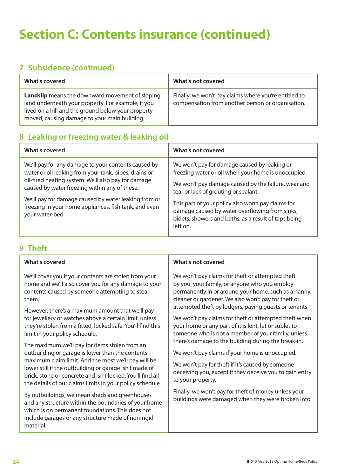### **7 Subsidence (continued)**

| What's covered                                                                                                                                                                                                     | What's not covered                                                                                         |
|--------------------------------------------------------------------------------------------------------------------------------------------------------------------------------------------------------------------|------------------------------------------------------------------------------------------------------------|
| <b>Landslip</b> means the downward movement of sloping<br>land underneath your property. For example, if you<br>lived on a hill and the ground below your property<br>moved, causing damage to your main building. | Finally, we won't pay claims where you're entitled to<br>compensation from another person or organisation. |

### **8 Leaking or freezing water & leaking oil**

| <b>What's covered</b>                                                                                                                                                                                                                                                                                                                                    | What's not covered                                                                                                                                                                                                                                                                                                                                                             |
|----------------------------------------------------------------------------------------------------------------------------------------------------------------------------------------------------------------------------------------------------------------------------------------------------------------------------------------------------------|--------------------------------------------------------------------------------------------------------------------------------------------------------------------------------------------------------------------------------------------------------------------------------------------------------------------------------------------------------------------------------|
| We'll pay for any damage to your contents caused by<br>water or oil leaking from your tank, pipes, drains or<br>oil-fired heating system. We'll also pay for damage<br>caused by water freezing within any of these.<br>We'll pay for damage caused by water leaking from or<br>freezing in your home appliances, fish tank, and even<br>your water-bed. | We won't pay for damage caused by leaking or<br>freezing water or oil when your home is unoccupied.<br>We won't pay damage caused by the failure, wear and<br>tear or lack of grouting or sealant.<br>This part of your policy also won't pay claims for<br>damage caused by water overflowing from sinks,<br>bidets, showers and baths, as a result of taps being<br>left on. |
|                                                                                                                                                                                                                                                                                                                                                          |                                                                                                                                                                                                                                                                                                                                                                                |

### **9 Theft**

| <b>What's covered</b>                                                                                                                                                                                                         | <b>What's not covered</b>                                                                                  |
|-------------------------------------------------------------------------------------------------------------------------------------------------------------------------------------------------------------------------------|------------------------------------------------------------------------------------------------------------|
| We'll cover you if your contents are stolen from your                                                                                                                                                                         | We won't pay claims for theft or attempted theft                                                           |
| home and we'll also cover you for any damage to your                                                                                                                                                                          | by you, your family, or anyone who you employ                                                              |
| contents caused by someone attempting to steal                                                                                                                                                                                | permanently in or around your home, such as a nanny,                                                       |
| them.                                                                                                                                                                                                                         | cleaner or gardener. We also won't pay for theft or                                                        |
| However, there's a maximum amount that we'll pay                                                                                                                                                                              | attempted theft by lodgers, paying guests or tenants.                                                      |
| for jewellery or watches above a certain limit, unless                                                                                                                                                                        | We won't pay claims for theft or attempted theft when                                                      |
| they're stolen from a fitted, locked safe. You'll find this                                                                                                                                                                   | your home or any part of it is lent, let or sublet to                                                      |
| limit in your policy schedule.                                                                                                                                                                                                | someone who is not a member of your family, unless                                                         |
| The maximum we'll pay for items stolen from an                                                                                                                                                                                | there's damage to the building during the break-in.                                                        |
| outbuilding or garage is lower than the contents                                                                                                                                                                              | We won't pay claims if your home is unoccupied.                                                            |
| maximum claim limit. And the most we'll pay will be                                                                                                                                                                           | We won't pay for theft if it's caused by someone                                                           |
| lower still if the outbuilding or garage isn't made of<br>brick, stone or concrete and isn't locked. You'll find all<br>the details of our claims limits in your policy schedule.                                             | deceiving you, except if they deceive you to gain entry<br>to your property.                               |
| By outbuildings, we mean sheds and greenhouses<br>and any structure within the boundaries of your home<br>which is on permanent foundations. This does not<br>include garages or any structure made of non-rigid<br>material. | Finally, we won't pay for theft of money unless your<br>buildings were damaged when they were broken into. |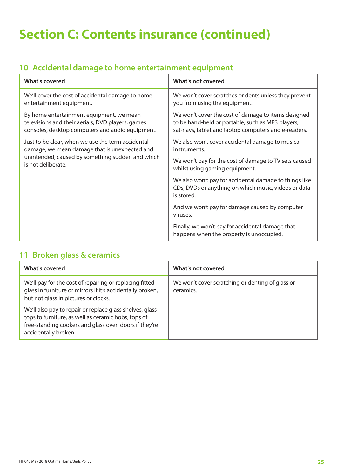#### **What's covered What's not covered** We'll cover the cost of accidental damage to home entertainment equipment. By home entertainment equipment, we mean televisions and their aerials, DVD players, games consoles, desktop computers and audio equipment. Just to be clear, when we use the term accidental damage, we mean damage that is unexpected and unintended, caused by something sudden and which is not deliberate. We won't cover scratches or dents unless they prevent you from using the equipment. We won't cover the cost of damage to items designed to be hand-held or portable, such as MP3 players, sat-navs, tablet and laptop computers and e-readers. We also won't cover accidental damage to musical instruments. We won't pay for the cost of damage to TV sets caused whilst using gaming equipment. We also won't pay for accidental damage to things like CDs, DVDs or anything on which music, videos or data is stored. And we won't pay for damage caused by computer viruses. Finally, we won't pay for accidental damage that happens when the property is unoccupied.

### **10 Accidental damage to home entertainment equipment**

#### **11 Broken glass & ceramics**

| What's covered                                                                                                                                                                                   | What's not covered                                            |
|--------------------------------------------------------------------------------------------------------------------------------------------------------------------------------------------------|---------------------------------------------------------------|
| We'll pay for the cost of repairing or replacing fitted<br>glass in furniture or mirrors if it's accidentally broken,<br>but not glass in pictures or clocks.                                    | We won't cover scratching or denting of glass or<br>ceramics. |
| We'll also pay to repair or replace glass shelves, glass<br>tops to furniture, as well as ceramic hobs, tops of<br>free-standing cookers and glass oven doors if they're<br>accidentally broken. |                                                               |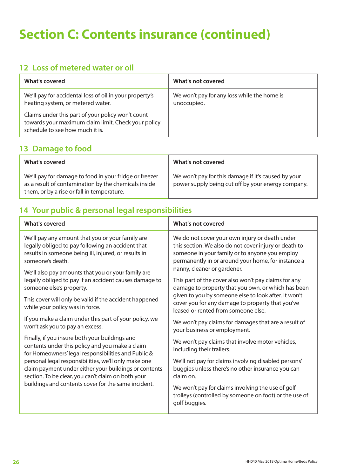### **12 Loss of metered water or oil**

| What's covered                                                                                                                              | What's not covered                                         |
|---------------------------------------------------------------------------------------------------------------------------------------------|------------------------------------------------------------|
| We'll pay for accidental loss of oil in your property's<br>heating system, or metered water.                                                | We won't pay for any loss while the home is<br>unoccupied. |
| Claims under this part of your policy won't count<br>towards your maximum claim limit. Check your policy<br>schedule to see how much it is. |                                                            |

### **13 Damage to food**

| What's covered                                                                                                                                               | What's not covered                                                                                        |
|--------------------------------------------------------------------------------------------------------------------------------------------------------------|-----------------------------------------------------------------------------------------------------------|
| We'll pay for damage to food in your fridge or freezer<br>as a result of contamination by the chemicals inside<br>them, or by a rise or fall in temperature. | We won't pay for this damage if it's caused by your<br>power supply being cut off by your energy company. |

### **14 Your public & personal legal responsibilities**

| <b>What's covered</b>                                                                                                                                                             | <b>What's not covered</b>                                                                                                                                                                                                                      |
|-----------------------------------------------------------------------------------------------------------------------------------------------------------------------------------|------------------------------------------------------------------------------------------------------------------------------------------------------------------------------------------------------------------------------------------------|
| We'll pay any amount that you or your family are<br>legally obliged to pay following an accident that<br>results in someone being ill, injured, or results in<br>someone's death. | We do not cover your own injury or death under<br>this section. We also do not cover injury or death to<br>someone in your family or to anyone you employ<br>permanently in or around your home, for instance a<br>nanny, cleaner or gardener. |
| We'll also pay amounts that you or your family are<br>legally obliged to pay if an accident causes damage to<br>someone else's property.                                          | This part of the cover also won't pay claims for any<br>damage to property that you own, or which has been                                                                                                                                     |
| This cover will only be valid if the accident happened<br>while your policy was in force.                                                                                         | given to you by someone else to look after. It won't<br>cover you for any damage to property that you've<br>leased or rented from someone else.                                                                                                |
| If you make a claim under this part of your policy, we<br>won't ask you to pay an excess.                                                                                         | We won't pay claims for damages that are a result of<br>your business or employment.                                                                                                                                                           |
| Finally, if you insure both your buildings and<br>contents under this policy and you make a claim<br>for Homeowners' legal responsibilities and Public &                          | We won't pay claims that involve motor vehicles,<br>including their trailers.                                                                                                                                                                  |
| personal legal responsibilities, we'll only make one<br>claim payment under either your buildings or contents<br>section. To be clear, you can't claim on both your               | We'll not pay for claims involving disabled persons'<br>buggies unless there's no other insurance you can<br>claim on.                                                                                                                         |
| buildings and contents cover for the same incident.                                                                                                                               | We won't pay for claims involving the use of golf<br>trolleys (controlled by someone on foot) or the use of<br>golf buggies.                                                                                                                   |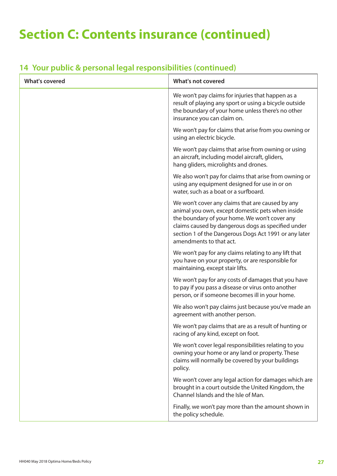| <b>What's covered</b> | <b>What's not covered</b>                                                                                                                                                                                                                                                                       |
|-----------------------|-------------------------------------------------------------------------------------------------------------------------------------------------------------------------------------------------------------------------------------------------------------------------------------------------|
|                       | We won't pay claims for injuries that happen as a<br>result of playing any sport or using a bicycle outside<br>the boundary of your home unless there's no other<br>insurance you can claim on.                                                                                                 |
|                       | We won't pay for claims that arise from you owning or<br>using an electric bicycle.                                                                                                                                                                                                             |
|                       | We won't pay claims that arise from owning or using<br>an aircraft, including model aircraft, gliders,<br>hang gliders, microlights and drones.                                                                                                                                                 |
|                       | We also won't pay for claims that arise from owning or<br>using any equipment designed for use in or on<br>water, such as a boat or a surfboard.                                                                                                                                                |
|                       | We won't cover any claims that are caused by any<br>animal you own, except domestic pets when inside<br>the boundary of your home. We won't cover any<br>claims caused by dangerous dogs as specified under<br>section 1 of the Dangerous Dogs Act 1991 or any later<br>amendments to that act. |
|                       | We won't pay for any claims relating to any lift that<br>you have on your property, or are responsible for<br>maintaining, except stair lifts.                                                                                                                                                  |
|                       | We won't pay for any costs of damages that you have<br>to pay if you pass a disease or virus onto another<br>person, or if someone becomes ill in your home.                                                                                                                                    |
|                       | We also won't pay claims just because you've made an<br>agreement with another person.                                                                                                                                                                                                          |
|                       | We won't pay claims that are as a result of hunting or<br>racing of any kind, except on foot.                                                                                                                                                                                                   |
|                       | We won't cover legal responsibilities relating to you<br>owning your home or any land or property. These<br>claims will normally be covered by your buildings<br>policy.                                                                                                                        |
|                       | We won't cover any legal action for damages which are<br>brought in a court outside the United Kingdom, the<br>Channel Islands and the Isle of Man.                                                                                                                                             |
|                       | Finally, we won't pay more than the amount shown in<br>the policy schedule.                                                                                                                                                                                                                     |

### **14 Your public & personal legal responsibilities (continued)**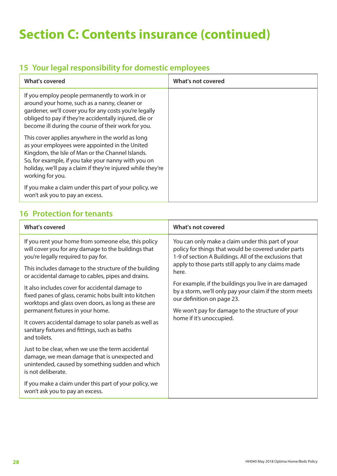### **15 Your legal responsibility for domestic employees**

| <b>What's covered</b>                                                                                                                                                                                                                                                                            | What's not covered |
|--------------------------------------------------------------------------------------------------------------------------------------------------------------------------------------------------------------------------------------------------------------------------------------------------|--------------------|
| If you employ people permanently to work in or<br>around your home, such as a nanny, cleaner or<br>gardener, we'll cover you for any costs you're legally<br>obliged to pay if they're accidentally injured, die or<br>become ill during the course of their work for you.                       |                    |
| This cover applies anywhere in the world as long<br>as your employees were appointed in the United<br>Kingdom, the Isle of Man or the Channel Islands.<br>So, for example, if you take your nanny with you on<br>holiday, we'll pay a claim if they're injured while they're<br>working for you. |                    |
| If you make a claim under this part of your policy, we<br>won't ask you to pay an excess.                                                                                                                                                                                                        |                    |

### **16 Protection for tenants**

| <b>What's covered</b>                                                                                                                                                                               | What's not covered                                                                                                                                                                                  |
|-----------------------------------------------------------------------------------------------------------------------------------------------------------------------------------------------------|-----------------------------------------------------------------------------------------------------------------------------------------------------------------------------------------------------|
| If you rent your home from someone else, this policy<br>will cover you for any damage to the buildings that<br>you're legally required to pay for.                                                  | You can only make a claim under this part of your<br>policy for things that would be covered under parts<br>1-9 of section A Buildings. All of the exclusions that                                  |
| This includes damage to the structure of the building<br>or accidental damage to cables, pipes and drains.                                                                                          | apply to those parts still apply to any claims made<br>here.                                                                                                                                        |
| It also includes cover for accidental damage to<br>fixed panes of glass, ceramic hobs built into kitchen<br>worktops and glass oven doors, as long as these are<br>permanent fixtures in your home. | For example, if the buildings you live in are damaged<br>by a storm, we'll only pay your claim if the storm meets<br>our definition on page 23.<br>We won't pay for damage to the structure of your |
| It covers accidental damage to solar panels as well as<br>sanitary fixtures and fittings, such as baths<br>and toilets.                                                                             | home if it's unoccupied.                                                                                                                                                                            |
| Just to be clear, when we use the term accidental<br>damage, we mean damage that is unexpected and<br>unintended, caused by something sudden and which<br>is not deliberate.                        |                                                                                                                                                                                                     |
| If you make a claim under this part of your policy, we<br>won't ask you to pay an excess.                                                                                                           |                                                                                                                                                                                                     |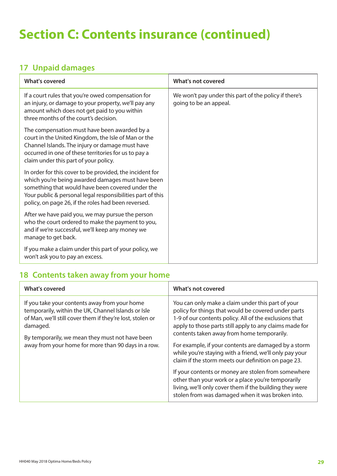### **17 Unpaid damages**

| <b>What's covered</b>                                                                                                                                                                                                                                                                  | <b>What's not covered</b>                                                       |
|----------------------------------------------------------------------------------------------------------------------------------------------------------------------------------------------------------------------------------------------------------------------------------------|---------------------------------------------------------------------------------|
| If a court rules that you're owed compensation for<br>an injury, or damage to your property, we'll pay any<br>amount which does not get paid to you within<br>three months of the court's decision.                                                                                    | We won't pay under this part of the policy if there's<br>going to be an appeal. |
| The compensation must have been awarded by a<br>court in the United Kingdom, the Isle of Man or the<br>Channel Islands. The injury or damage must have<br>occurred in one of these territories for us to pay a<br>claim under this part of your policy.                                |                                                                                 |
| In order for this cover to be provided, the incident for<br>which you're being awarded damages must have been<br>something that would have been covered under the<br>Your public & personal legal responsibilities part of this<br>policy, on page 26, if the roles had been reversed. |                                                                                 |
| After we have paid you, we may pursue the person<br>who the court ordered to make the payment to you,<br>and if we're successful, we'll keep any money we<br>manage to get back.                                                                                                       |                                                                                 |
| If you make a claim under this part of your policy, we<br>won't ask you to pay an excess.                                                                                                                                                                                              |                                                                                 |

### **18 Contents taken away from your home**

| <b>What's covered</b>                                                                                                                                                                                                                                                                   | What's not covered                                                                                                                                                                                                                                                                                                                                                                                                                                                                                           |
|-----------------------------------------------------------------------------------------------------------------------------------------------------------------------------------------------------------------------------------------------------------------------------------------|--------------------------------------------------------------------------------------------------------------------------------------------------------------------------------------------------------------------------------------------------------------------------------------------------------------------------------------------------------------------------------------------------------------------------------------------------------------------------------------------------------------|
| If you take your contents away from your home<br>temporarily, within the UK, Channel Islands or Isle<br>of Man, we'll still cover them if they're lost, stolen or<br>damaged.<br>By temporarily, we mean they must not have been<br>away from your home for more than 90 days in a row. | You can only make a claim under this part of your<br>policy for things that would be covered under parts<br>1-9 of our contents policy. All of the exclusions that<br>apply to those parts still apply to any claims made for<br>contents taken away from home temporarily.<br>For example, if your contents are damaged by a storm<br>while you're staying with a friend, we'll only pay your<br>claim if the storm meets our definition on page 23.<br>If your contents or money are stolen from somewhere |
|                                                                                                                                                                                                                                                                                         | other than your work or a place you're temporarily<br>living, we'll only cover them if the building they were<br>stolen from was damaged when it was broken into.                                                                                                                                                                                                                                                                                                                                            |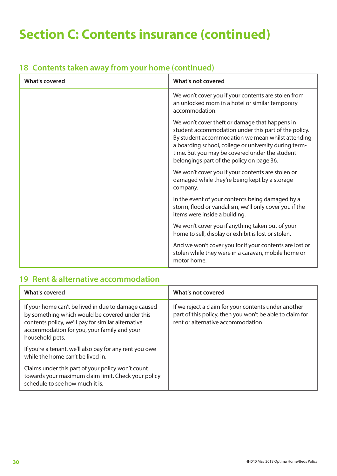| <b>What's covered</b> | <b>What's not covered</b>                                                                                                                                                                                                                                                                                           |
|-----------------------|---------------------------------------------------------------------------------------------------------------------------------------------------------------------------------------------------------------------------------------------------------------------------------------------------------------------|
|                       | We won't cover you if your contents are stolen from<br>an unlocked room in a hotel or similar temporary<br>accommodation.                                                                                                                                                                                           |
|                       | We won't cover theft or damage that happens in<br>student accommodation under this part of the policy.<br>By student accommodation we mean whilst attending<br>a boarding school, college or university during term-<br>time. But you may be covered under the student<br>belongings part of the policy on page 36. |
|                       | We won't cover you if your contents are stolen or<br>damaged while they're being kept by a storage<br>company.                                                                                                                                                                                                      |
|                       | In the event of your contents being damaged by a<br>storm, flood or vandalism, we'll only cover you if the<br>items were inside a building.                                                                                                                                                                         |
|                       | We won't cover you if anything taken out of your<br>home to sell, display or exhibit is lost or stolen.                                                                                                                                                                                                             |
|                       | And we won't cover you for if your contents are lost or<br>stolen while they were in a caravan, mobile home or<br>motor home.                                                                                                                                                                                       |

### **18 Contents taken away from your home (continued)**

### **19 Rent & alternative accommodation**

| What's covered                                                                                                                                                                                                                | What's not covered                                                                                                                                     |
|-------------------------------------------------------------------------------------------------------------------------------------------------------------------------------------------------------------------------------|--------------------------------------------------------------------------------------------------------------------------------------------------------|
| If your home can't be lived in due to damage caused<br>by something which would be covered under this<br>contents policy, we'll pay for similar alternative<br>accommodation for you, your family and your<br>household pets. | If we reject a claim for your contents under another<br>part of this policy, then you won't be able to claim for<br>rent or alternative accommodation. |
| If you're a tenant, we'll also pay for any rent you owe<br>while the home can't be lived in.                                                                                                                                  |                                                                                                                                                        |
| Claims under this part of your policy won't count<br>towards your maximum claim limit. Check your policy<br>schedule to see how much it is.                                                                                   |                                                                                                                                                        |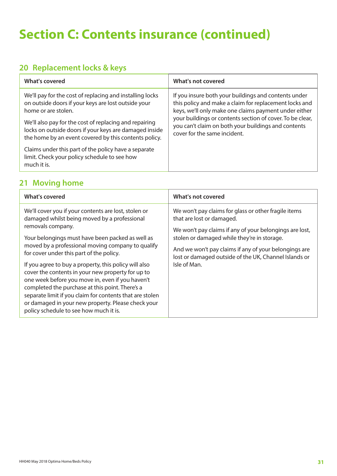### **20 Replacement locks & keys**

| What's covered                                                                                                      | What's not covered                                        |
|---------------------------------------------------------------------------------------------------------------------|-----------------------------------------------------------|
| We'll pay for the cost of replacing and installing locks                                                            | If you insure both your buildings and contents under      |
| on outside doors if your keys are lost outside your                                                                 | this policy and make a claim for replacement locks and    |
| home or are stolen.                                                                                                 | keys, we'll only make one claims payment under either     |
| We'll also pay for the cost of replacing and repairing                                                              | your buildings or contents section of cover. To be clear, |
| locks on outside doors if your keys are damaged inside                                                              | you can't claim on both your buildings and contents       |
| the home by an event covered by this contents policy.                                                               | cover for the same incident.                              |
| Claims under this part of the policy have a separate<br>limit. Check your policy schedule to see how<br>much it is. |                                                           |

### **21 Moving home**

| What's covered                                                                                                                                                                                                                                                                                                                                                                                                                                                                                                                                                                                                                                                  | What's not covered                                                                                                                                                                                                                                                                                                            |
|-----------------------------------------------------------------------------------------------------------------------------------------------------------------------------------------------------------------------------------------------------------------------------------------------------------------------------------------------------------------------------------------------------------------------------------------------------------------------------------------------------------------------------------------------------------------------------------------------------------------------------------------------------------------|-------------------------------------------------------------------------------------------------------------------------------------------------------------------------------------------------------------------------------------------------------------------------------------------------------------------------------|
| We'll cover you if your contents are lost, stolen or<br>damaged whilst being moved by a professional<br>removals company.<br>Your belongings must have been packed as well as<br>moved by a professional moving company to qualify<br>for cover under this part of the policy.<br>If you agree to buy a property, this policy will also<br>cover the contents in your new property for up to<br>one week before you move in, even if you haven't<br>completed the purchase at this point. There's a<br>separate limit if you claim for contents that are stolen<br>or damaged in your new property. Please check your<br>policy schedule to see how much it is. | We won't pay claims for glass or other fragile items<br>that are lost or damaged.<br>We won't pay claims if any of your belongings are lost,<br>stolen or damaged while they're in storage.<br>And we won't pay claims if any of your belongings are<br>lost or damaged outside of the UK, Channel Islands or<br>Isle of Man. |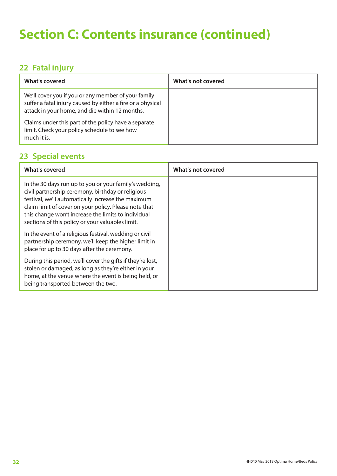### **22 Fatal injury**

| What's covered                                                                                                                                                       | What's not covered |
|----------------------------------------------------------------------------------------------------------------------------------------------------------------------|--------------------|
| We'll cover you if you or any member of your family<br>suffer a fatal injury caused by either a fire or a physical<br>attack in your home, and die within 12 months. |                    |
| Claims under this part of the policy have a separate<br>limit. Check your policy schedule to see how<br>much it is.                                                  |                    |

### **23 Special events**

| <b>What's covered</b>                                                                                                                                                                                                                                                                                                                 | What's not covered |
|---------------------------------------------------------------------------------------------------------------------------------------------------------------------------------------------------------------------------------------------------------------------------------------------------------------------------------------|--------------------|
| In the 30 days run up to you or your family's wedding,<br>civil partnership ceremony, birthday or religious<br>festival, we'll automatically increase the maximum<br>claim limit of cover on your policy. Please note that<br>this change won't increase the limits to individual<br>sections of this policy or your valuables limit. |                    |
| In the event of a religious festival, wedding or civil<br>partnership ceremony, we'll keep the higher limit in<br>place for up to 30 days after the ceremony.                                                                                                                                                                         |                    |
| During this period, we'll cover the gifts if they're lost,<br>stolen or damaged, as long as they're either in your<br>home, at the venue where the event is being held, or<br>being transported between the two.                                                                                                                      |                    |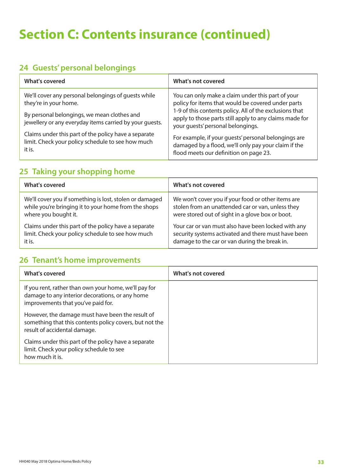### **24 Guests' personal belongings**

| <b>What's covered</b>                                                                                  | What's not covered                                                                                                                                      |
|--------------------------------------------------------------------------------------------------------|---------------------------------------------------------------------------------------------------------------------------------------------------------|
| We'll cover any personal belongings of quests while                                                    | You can only make a claim under this part of your                                                                                                       |
| they're in your home.                                                                                  | policy for items that would be covered under parts                                                                                                      |
| By personal belongings, we mean clothes and<br>jewellery or any everyday items carried by your quests. | 1-9 of this contents policy. All of the exclusions that<br>apply to those parts still apply to any claims made for<br>your guests' personal belongings. |
| Claims under this part of the policy have a separate                                                   | For example, if your guests' personal belongings are                                                                                                    |
| limit. Check your policy schedule to see how much                                                      | damaged by a flood, we'll only pay your claim if the                                                                                                    |
| it is.                                                                                                 | flood meets our definition on page 23.                                                                                                                  |

### **25 Taking your shopping home**

| <b>What's covered</b>                                   | <b>What's not covered</b>                           |
|---------------------------------------------------------|-----------------------------------------------------|
| We'll cover you if something is lost, stolen or damaged | We won't cover you if your food or other items are  |
| while you're bringing it to your home from the shops    | stolen from an unattended car or van, unless they   |
| where you bought it.                                    | were stored out of sight in a glove box or boot.    |
| Claims under this part of the policy have a separate    | Your car or van must also have been locked with any |
| limit. Check your policy schedule to see how much       | security systems activated and there must have been |
| it is.                                                  | damage to the car or van during the break in.       |

### **26 Tenant's home improvements**

| What's covered                                                                                                                                 | What's not covered |
|------------------------------------------------------------------------------------------------------------------------------------------------|--------------------|
| If you rent, rather than own your home, we'll pay for<br>damage to any interior decorations, or any home<br>improvements that you've paid for. |                    |
| However, the damage must have been the result of<br>something that this contents policy covers, but not the<br>result of accidental damage.    |                    |
| Claims under this part of the policy have a separate<br>limit. Check your policy schedule to see<br>how much it is.                            |                    |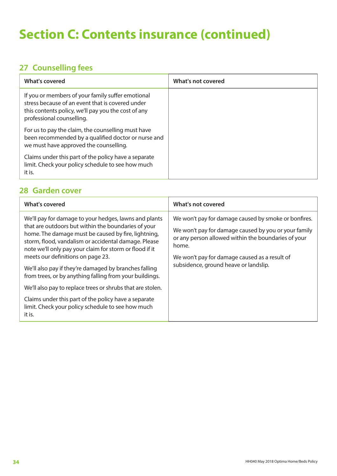### **27 Counselling fees**

| What's covered                                                                                                                                                                            | What's not covered |
|-------------------------------------------------------------------------------------------------------------------------------------------------------------------------------------------|--------------------|
| If you or members of your family suffer emotional<br>stress because of an event that is covered under<br>this contents policy, we'll pay you the cost of any<br>professional counselling. |                    |
| For us to pay the claim, the counselling must have<br>been recommended by a qualified doctor or nurse and<br>we must have approved the counselling.                                       |                    |
| Claims under this part of the policy have a separate<br>limit. Check your policy schedule to see how much<br>it is.                                                                       |                    |

### **28 Garden cover**

| What's covered                                                                                                                                                                                                                                                                                                                                                                                                                                                                                                                                                                                                                       | What's not covered                                                                                                                                                                                                                                                     |
|--------------------------------------------------------------------------------------------------------------------------------------------------------------------------------------------------------------------------------------------------------------------------------------------------------------------------------------------------------------------------------------------------------------------------------------------------------------------------------------------------------------------------------------------------------------------------------------------------------------------------------------|------------------------------------------------------------------------------------------------------------------------------------------------------------------------------------------------------------------------------------------------------------------------|
| We'll pay for damage to your hedges, lawns and plants<br>that are outdoors but within the boundaries of your<br>home. The damage must be caused by fire, lightning,<br>storm, flood, vandalism or accidental damage. Please<br>note we'll only pay your claim for storm or flood if it<br>meets our definitions on page 23.<br>We'll also pay if they're damaged by branches falling<br>from trees, or by anything falling from your buildings.<br>We'll also pay to replace trees or shrubs that are stolen.<br>Claims under this part of the policy have a separate<br>limit. Check your policy schedule to see how much<br>it is. | We won't pay for damage caused by smoke or bonfires.<br>We won't pay for damage caused by you or your family<br>or any person allowed within the boundaries of your<br>home.<br>We won't pay for damage caused as a result of<br>subsidence, ground heave or landslip. |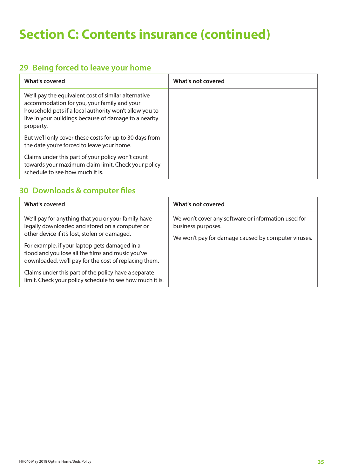### **29 Being forced to leave your home**

| What's covered                                                                                                                                                                                                                     | What's not covered |
|------------------------------------------------------------------------------------------------------------------------------------------------------------------------------------------------------------------------------------|--------------------|
| We'll pay the equivalent cost of similar alternative<br>accommodation for you, your family and your<br>household pets if a local authority won't allow you to<br>live in your buildings because of damage to a nearby<br>property. |                    |
| But we'll only cover these costs for up to 30 days from<br>the date you're forced to leave your home.                                                                                                                              |                    |
| Claims under this part of your policy won't count<br>towards your maximum claim limit. Check your policy<br>schedule to see how much it is.                                                                                        |                    |

### **30 Downloads & computer files**

| What's covered                                                                                                                                              | What's not covered                                                                                                               |
|-------------------------------------------------------------------------------------------------------------------------------------------------------------|----------------------------------------------------------------------------------------------------------------------------------|
| We'll pay for anything that you or your family have<br>legally downloaded and stored on a computer or<br>other device if it's lost, stolen or damaged.      | We won't cover any software or information used for<br>business purposes.<br>We won't pay for damage caused by computer viruses. |
| For example, if your laptop gets damaged in a<br>flood and you lose all the films and music you've<br>downloaded, we'll pay for the cost of replacing them. |                                                                                                                                  |
| Claims under this part of the policy have a separate<br>limit. Check your policy schedule to see how much it is.                                            |                                                                                                                                  |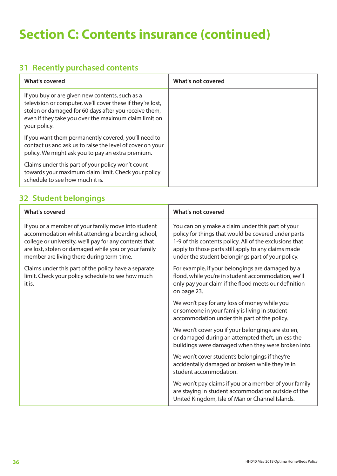### **31 Recently purchased contents**

| <b>What's covered</b>                                                                                                                                                                                                                           | What's not covered |
|-------------------------------------------------------------------------------------------------------------------------------------------------------------------------------------------------------------------------------------------------|--------------------|
| If you buy or are given new contents, such as a<br>television or computer, we'll cover these if they're lost,<br>stolen or damaged for 60 days after you receive them,<br>even if they take you over the maximum claim limit on<br>your policy. |                    |
| If you want them permanently covered, you'll need to<br>contact us and ask us to raise the level of cover on your<br>policy. We might ask you to pay an extra premium.                                                                          |                    |
| Claims under this part of your policy won't count<br>towards your maximum claim limit. Check your policy<br>schedule to see how much it is.                                                                                                     |                    |

### **32 Student belongings**

| <b>What's covered</b>                                                                                                                                                                                                                                                   | <b>What's not covered</b>                                                                                                                                                                                                                                                       |
|-------------------------------------------------------------------------------------------------------------------------------------------------------------------------------------------------------------------------------------------------------------------------|---------------------------------------------------------------------------------------------------------------------------------------------------------------------------------------------------------------------------------------------------------------------------------|
| If you or a member of your family move into student<br>accommodation whilst attending a boarding school,<br>college or university, we'll pay for any contents that<br>are lost, stolen or damaged while you or your family<br>member are living there during term-time. | You can only make a claim under this part of your<br>policy for things that would be covered under parts<br>1-9 of this contents policy. All of the exclusions that<br>apply to those parts still apply to any claims made<br>under the student belongings part of your policy. |
| Claims under this part of the policy have a separate<br>limit. Check your policy schedule to see how much<br>it is.                                                                                                                                                     | For example, if your belongings are damaged by a<br>flood, while you're in student accommodation, we'll<br>only pay your claim if the flood meets our definition<br>on page 23.                                                                                                 |
|                                                                                                                                                                                                                                                                         | We won't pay for any loss of money while you<br>or someone in your family is living in student<br>accommodation under this part of the policy.                                                                                                                                  |
|                                                                                                                                                                                                                                                                         | We won't cover you if your belongings are stolen,<br>or damaged during an attempted theft, unless the<br>buildings were damaged when they were broken into.                                                                                                                     |
|                                                                                                                                                                                                                                                                         | We won't cover student's belongings if they're<br>accidentally damaged or broken while they're in<br>student accommodation.                                                                                                                                                     |
|                                                                                                                                                                                                                                                                         | We won't pay claims if you or a member of your family<br>are staying in student accommodation outside of the<br>United Kingdom, Isle of Man or Channel Islands.                                                                                                                 |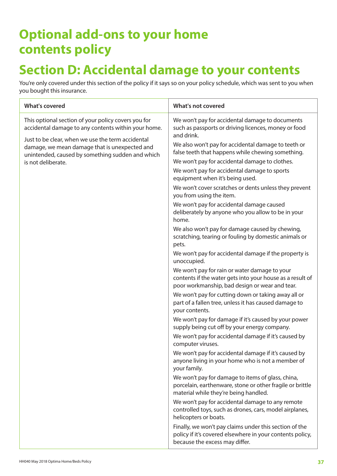# **Optional add-ons to your home contents policy**

# **Section D: Accidental damage to your contents**

You're only covered under this section of the policy if it says so on your policy schedule, which was sent to you when you bought this insurance.

| <b>What's covered</b>                                                                                                                                  | <b>What's not covered</b>                                                                                                                                    |
|--------------------------------------------------------------------------------------------------------------------------------------------------------|--------------------------------------------------------------------------------------------------------------------------------------------------------------|
| This optional section of your policy covers you for<br>accidental damage to any contents within your home.                                             | We won't pay for accidental damage to documents<br>such as passports or driving licences, money or food<br>and drink.                                        |
| Just to be clear, when we use the term accidental<br>damage, we mean damage that is unexpected and<br>unintended, caused by something sudden and which | We also won't pay for accidental damage to teeth or<br>false teeth that happens while chewing something.                                                     |
| is not deliberate.                                                                                                                                     | We won't pay for accidental damage to clothes.                                                                                                               |
|                                                                                                                                                        | We won't pay for accidental damage to sports<br>equipment when it's being used.                                                                              |
|                                                                                                                                                        | We won't cover scratches or dents unless they prevent<br>you from using the item.                                                                            |
|                                                                                                                                                        | We won't pay for accidental damage caused<br>deliberately by anyone who you allow to be in your<br>home.                                                     |
|                                                                                                                                                        | We also won't pay for damage caused by chewing,<br>scratching, tearing or fouling by domestic animals or<br>pets.                                            |
|                                                                                                                                                        | We won't pay for accidental damage if the property is<br>unoccupied.                                                                                         |
|                                                                                                                                                        | We won't pay for rain or water damage to your<br>contents if the water gets into your house as a result of<br>poor workmanship, bad design or wear and tear. |
|                                                                                                                                                        | We won't pay for cutting down or taking away all or<br>part of a fallen tree, unless it has caused damage to<br>your contents.                               |
|                                                                                                                                                        | We won't pay for damage if it's caused by your power<br>supply being cut off by your energy company.                                                         |
|                                                                                                                                                        | We won't pay for accidental damage if it's caused by<br>computer viruses.                                                                                    |
|                                                                                                                                                        | We won't pay for accidental damage if it's caused by<br>anyone living in your home who is not a member of<br>your family.                                    |
|                                                                                                                                                        | We won't pay for damage to items of glass, china,<br>porcelain, earthenware, stone or other fragile or brittle<br>material while they're being handled.      |
|                                                                                                                                                        | We won't pay for accidental damage to any remote<br>controlled toys, such as drones, cars, model airplanes,<br>helicopters or boats.                         |
|                                                                                                                                                        | Finally, we won't pay claims under this section of the<br>policy if it's covered elsewhere in your contents policy,<br>because the excess may differ.        |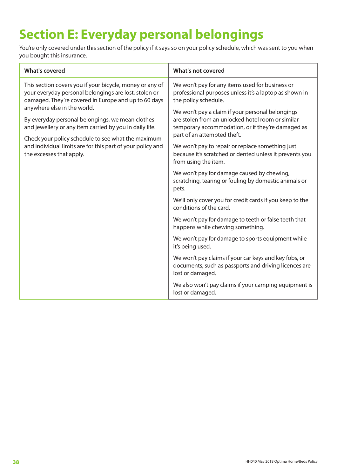# **Section E: Everyday personal belongings**

You're only covered under this section of the policy if it says so on your policy schedule, which was sent to you when you bought this insurance.

| <b>What's covered</b>                                                                                                                                                                                                                                                                                                                                                                                                                                                   | What's not covered                                                                                                                                                                        |
|-------------------------------------------------------------------------------------------------------------------------------------------------------------------------------------------------------------------------------------------------------------------------------------------------------------------------------------------------------------------------------------------------------------------------------------------------------------------------|-------------------------------------------------------------------------------------------------------------------------------------------------------------------------------------------|
| This section covers you if your bicycle, money or any of<br>your everyday personal belongings are lost, stolen or<br>damaged. They're covered in Europe and up to 60 days<br>anywhere else in the world.<br>By everyday personal belongings, we mean clothes<br>and jewellery or any item carried by you in daily life.<br>Check your policy schedule to see what the maximum<br>and individual limits are for this part of your policy and<br>the excesses that apply. | We won't pay for any items used for business or<br>professional purposes unless it's a laptop as shown in<br>the policy schedule.                                                         |
|                                                                                                                                                                                                                                                                                                                                                                                                                                                                         | We won't pay a claim if your personal belongings<br>are stolen from an unlocked hotel room or similar<br>temporary accommodation, or if they're damaged as<br>part of an attempted theft. |
|                                                                                                                                                                                                                                                                                                                                                                                                                                                                         | We won't pay to repair or replace something just<br>because it's scratched or dented unless it prevents you<br>from using the item.                                                       |
|                                                                                                                                                                                                                                                                                                                                                                                                                                                                         | We won't pay for damage caused by chewing,<br>scratching, tearing or fouling by domestic animals or<br>pets.                                                                              |
|                                                                                                                                                                                                                                                                                                                                                                                                                                                                         | We'll only cover you for credit cards if you keep to the<br>conditions of the card.                                                                                                       |
|                                                                                                                                                                                                                                                                                                                                                                                                                                                                         | We won't pay for damage to teeth or false teeth that<br>happens while chewing something.                                                                                                  |
|                                                                                                                                                                                                                                                                                                                                                                                                                                                                         | We won't pay for damage to sports equipment while<br>it's being used.                                                                                                                     |
|                                                                                                                                                                                                                                                                                                                                                                                                                                                                         | We won't pay claims if your car keys and key fobs, or<br>documents, such as passports and driving licences are<br>lost or damaged.                                                        |
|                                                                                                                                                                                                                                                                                                                                                                                                                                                                         | We also won't pay claims if your camping equipment is<br>lost or damaged.                                                                                                                 |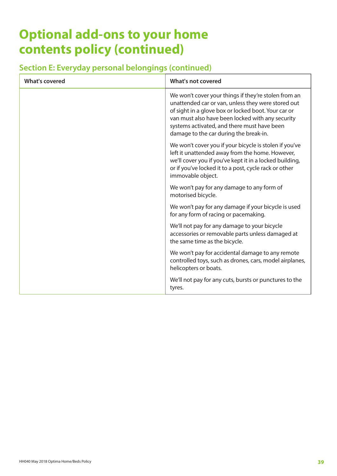# **Optional add-ons to your home contents policy (continued)**

### **Section E: Everyday personal belongings (continued)**

| <b>What's covered</b> | <b>What's not covered</b>                                                                                                                                                                                                                                                                                      |
|-----------------------|----------------------------------------------------------------------------------------------------------------------------------------------------------------------------------------------------------------------------------------------------------------------------------------------------------------|
|                       | We won't cover your things if they're stolen from an<br>unattended car or van, unless they were stored out<br>of sight in a glove box or locked boot. Your car or<br>van must also have been locked with any security<br>systems activated, and there must have been<br>damage to the car during the break-in. |
|                       | We won't cover you if your bicycle is stolen if you've<br>left it unattended away from the home. However,<br>we'll cover you if you've kept it in a locked building,<br>or if you've locked it to a post, cycle rack or other<br>immovable object.                                                             |
|                       | We won't pay for any damage to any form of<br>motorised bicycle.                                                                                                                                                                                                                                               |
|                       | We won't pay for any damage if your bicycle is used<br>for any form of racing or pacemaking.                                                                                                                                                                                                                   |
|                       | We'll not pay for any damage to your bicycle<br>accessories or removable parts unless damaged at<br>the same time as the bicycle.                                                                                                                                                                              |
|                       | We won't pay for accidental damage to any remote<br>controlled toys, such as drones, cars, model airplanes,<br>helicopters or boats.                                                                                                                                                                           |
|                       | We'll not pay for any cuts, bursts or punctures to the<br>tyres.                                                                                                                                                                                                                                               |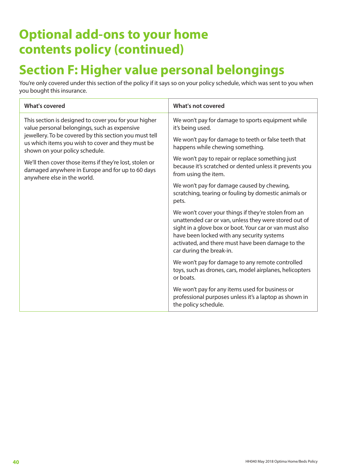# **Optional add-ons to your home contents policy (continued)**

# **Section F: Higher value personal belongings**

You're only covered under this section of the policy if it says so on your policy schedule, which was sent to you when you bought this insurance.

| <b>What's covered</b>                                                                                                                                                                                                                                  | What's not covered                                                                                                                                                                                                                                                                                      |
|--------------------------------------------------------------------------------------------------------------------------------------------------------------------------------------------------------------------------------------------------------|---------------------------------------------------------------------------------------------------------------------------------------------------------------------------------------------------------------------------------------------------------------------------------------------------------|
| This section is designed to cover you for your higher<br>value personal belongings, such as expensive<br>jewellery. To be covered by this section you must tell<br>us which items you wish to cover and they must be<br>shown on your policy schedule. | We won't pay for damage to sports equipment while<br>it's being used.                                                                                                                                                                                                                                   |
|                                                                                                                                                                                                                                                        | We won't pay for damage to teeth or false teeth that<br>happens while chewing something.                                                                                                                                                                                                                |
| We'll then cover those items if they're lost, stolen or<br>damaged anywhere in Europe and for up to 60 days<br>anywhere else in the world.                                                                                                             | We won't pay to repair or replace something just<br>because it's scratched or dented unless it prevents you<br>from using the item.                                                                                                                                                                     |
|                                                                                                                                                                                                                                                        | We won't pay for damage caused by chewing,<br>scratching, tearing or fouling by domestic animals or<br>pets.                                                                                                                                                                                            |
|                                                                                                                                                                                                                                                        | We won't cover your things if they're stolen from an<br>unattended car or van, unless they were stored out of<br>sight in a glove box or boot. Your car or van must also<br>have been locked with any security systems<br>activated, and there must have been damage to the<br>car during the break-in. |
|                                                                                                                                                                                                                                                        | We won't pay for damage to any remote controlled<br>toys, such as drones, cars, model airplanes, helicopters<br>or boats.                                                                                                                                                                               |
|                                                                                                                                                                                                                                                        | We won't pay for any items used for business or<br>professional purposes unless it's a laptop as shown in<br>the policy schedule.                                                                                                                                                                       |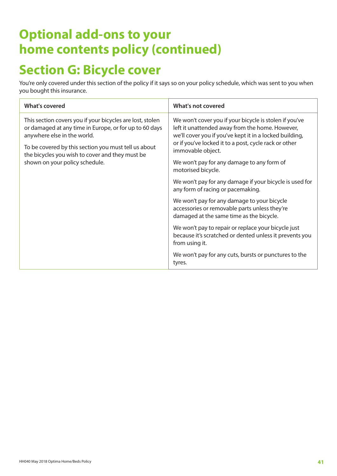# **Optional add-ons to your home contents policy (continued)**

# **Section G: Bicycle cover**

You're only covered under this section of the policy if it says so on your policy schedule, which was sent to you when you bought this insurance.

| <b>What's covered</b>                                                                                                                              | What's not covered                                                                                                                                                   |
|----------------------------------------------------------------------------------------------------------------------------------------------------|----------------------------------------------------------------------------------------------------------------------------------------------------------------------|
| This section covers you if your bicycles are lost, stolen<br>or damaged at any time in Europe, or for up to 60 days<br>anywhere else in the world. | We won't cover you if your bicycle is stolen if you've<br>left it unattended away from the home. However,<br>we'll cover you if you've kept it in a locked building, |
| To be covered by this section you must tell us about<br>the bicycles you wish to cover and they must be                                            | or if you've locked it to a post, cycle rack or other<br>immovable object.                                                                                           |
| shown on your policy schedule.                                                                                                                     | We won't pay for any damage to any form of<br>motorised bicycle.                                                                                                     |
|                                                                                                                                                    | We won't pay for any damage if your bicycle is used for<br>any form of racing or pacemaking.                                                                         |
|                                                                                                                                                    | We won't pay for any damage to your bicycle<br>accessories or removable parts unless they're<br>damaged at the same time as the bicycle.                             |
|                                                                                                                                                    | We won't pay to repair or replace your bicycle just<br>because it's scratched or dented unless it prevents you<br>from using it.                                     |
|                                                                                                                                                    | We won't pay for any cuts, bursts or punctures to the<br>tyres.                                                                                                      |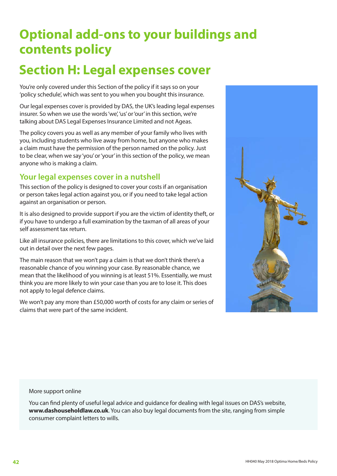# **Optional add-ons to your buildings and contents policy**

# **Section H: Legal expenses cover**

You're only covered under this Section of the policy if it says so on your 'policy schedule', which was sent to you when you bought this insurance.

Our legal expenses cover is provided by DAS, the UK's leading legal expenses insurer. So when we use the words 'we', 'us' or 'our' in this section, we're talking about DAS Legal Expenses Insurance Limited and not Ageas.

The policy covers you as well as any member of your family who lives with you, including students who live away from home, but anyone who makes a claim must have the permission of the person named on the policy. Just to be clear, when we say 'you' or 'your' in this section of the policy, we mean anyone who is making a claim.

#### **Your legal expenses cover in a nutshell**

This section of the policy is designed to cover your costs if an organisation or person takes legal action against you, or if you need to take legal action against an organisation or person.

It is also designed to provide support if you are the victim of identity theft, or if you have to undergo a full examination by the taxman of all areas of your self assessment tax return.

Like all insurance policies, there are limitations to this cover, which we've laid out in detail over the next few pages.

The main reason that we won't pay a claim is that we don't think there's a reasonable chance of you winning your case. By reasonable chance, we mean that the likelihood of you winning is at least 51%. Essentially, we must think you are more likely to win your case than you are to lose it. This does not apply to legal defence claims.

We won't pay any more than £50,000 worth of costs for any claim or series of claims that were part of the same incident.



#### More support online

You can find plenty of useful legal advice and guidance for dealing with legal issues on DAS's website, **www.dashouseholdlaw.co.uk**. You can also buy legal documents from the site, ranging from simple consumer complaint letters to wills.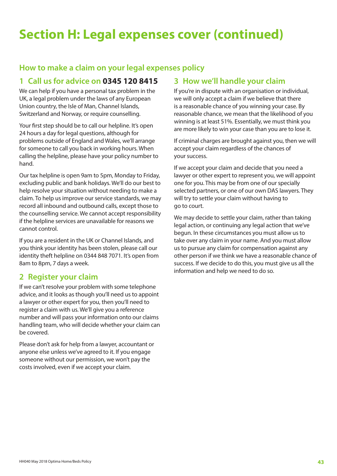#### **How to make a claim on your legal expenses policy**

#### **1 Call us for advice on 0345 120 8415**

We can help if you have a personal tax problem in the UK, a legal problem under the laws of any European Union country, the Isle of Man, Channel Islands, Switzerland and Norway, or require counselling.

Your first step should be to call our helpline. It's open 24 hours a day for legal questions, although for problems outside of England and Wales, we'll arrange for someone to call you back in working hours. When calling the helpline, please have your policy number to hand.

Our tax helpline is open 9am to 5pm, Monday to Friday, excluding public and bank holidays. We'll do our best to help resolve your situation without needing to make a claim. To help us improve our service standards, we may record all inbound and outbound calls, except those to the counselling service. We cannot accept responsibility if the helpline services are unavailable for reasons we cannot control.

If you are a resident in the UK or Channel Islands, and you think your identity has been stolen, please call our identity theft helpline on 0344 848 7071. It's open from 8am to 8pm, 7 days a week.

#### **2 Register your claim**

If we can't resolve your problem with some telephone advice, and it looks as though you'll need us to appoint a lawyer or other expert for you, then you'll need to register a claim with us. We'll give you a reference number and will pass your information onto our claims handling team, who will decide whether your claim can be covered.

Please don't ask for help from a lawyer, accountant or anyone else unless we've agreed to it. If you engage someone without our permission, we won't pay the costs involved, even if we accept your claim.

#### **3 How we'll handle your claim**

If you're in dispute with an organisation or individual, we will only accept a claim if we believe that there is a reasonable chance of you winning your case. By reasonable chance, we mean that the likelihood of you winning is at least 51%. Essentially, we must think you are more likely to win your case than you are to lose it.

If criminal charges are brought against you, then we will accept your claim regardless of the chances of your success.

If we accept your claim and decide that you need a lawyer or other expert to represent you, we will appoint one for you. This may be from one of our specially selected partners, or one of our own DAS lawyers. They will try to settle your claim without having to go to court.

We may decide to settle your claim, rather than taking legal action, or continuing any legal action that we've begun. In these circumstances you must allow us to take over any claim in your name. And you must allow us to pursue any claim for compensation against any other person if we think we have a reasonable chance of success. If we decide to do this, you must give us all the information and help we need to do so.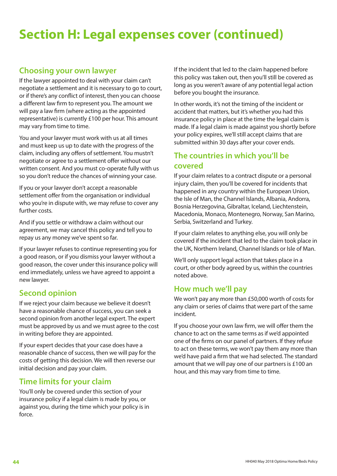#### **Choosing your own lawyer**

If the lawyer appointed to deal with your claim can't negotiate a settlement and it is necessary to go to court, or if there's any conflict of interest, then you can choose a different law firm to represent you. The amount we will pay a law firm (where acting as the appointed representative) is currently £100 per hour. This amount may vary from time to time.

You and your lawyer must work with us at all times and must keep us up to date with the progress of the claim, including any offers of settlement. You mustn't negotiate or agree to a settlement offer without our written consent. And you must co-operate fully with us so you don't reduce the chances of winning your case.

If you or your lawyer don't accept a reasonable settlement offer from the organisation or individual who you're in dispute with, we may refuse to cover any further costs.

And if you settle or withdraw a claim without our agreement, we may cancel this policy and tell you to repay us any money we've spent so far.

If your lawyer refuses to continue representing you for a good reason, or if you dismiss your lawyer without a good reason, the cover under this insurance policy will end immediately, unless we have agreed to appoint a new lawyer.

#### **Second opinion**

If we reject your claim because we believe it doesn't have a reasonable chance of success, you can seek a second opinion from another legal expert. The expert must be approved by us and we must agree to the cost in writing before they are appointed.

If your expert decides that your case does have a reasonable chance of success, then we will pay for the costs of getting this decision. We will then reverse our initial decision and pay your claim.

#### **Time limits for your claim**

You'll only be covered under this section of your insurance policy if a legal claim is made by you, or against you, during the time which your policy is in force.

If the incident that led to the claim happened before this policy was taken out, then you'll still be covered as long as you weren't aware of any potential legal action before you bought the insurance.

In other words, it's not the timing of the incident or accident that matters, but it's whether you had this insurance policy in place at the time the legal claim is made. If a legal claim is made against you shortly before your policy expires, we'll still accept claims that are submitted within 30 days after your cover ends.

#### **The countries in which you'll be covered**

If your claim relates to a contract dispute or a personal injury claim, then you'll be covered for incidents that happened in any country within the European Union, the Isle of Man, the Channel Islands, Albania, Andorra, Bosnia Herzegovina, Gibraltar, Iceland, Liechtenstein, Macedonia, Monaco, Montenegro, Norway, San Marino, Serbia, Switzerland and Turkey.

If your claim relates to anything else, you will only be covered if the incident that led to the claim took place in the UK, Northern Ireland, Channel Islands or Isle of Man.

We'll only support legal action that takes place in a court, or other body agreed by us, within the countries noted above.

#### **How much we'll pay**

We won't pay any more than £50,000 worth of costs for any claim or series of claims that were part of the same incident.

If you choose your own law firm, we will offer them the chance to act on the same terms as if we'd appointed one of the firms on our panel of partners. If they refuse to act on these terms, we won't pay them any more than we'd have paid a firm that we had selected. The standard amount that we will pay one of our partners is £100 an hour, and this may vary from time to time.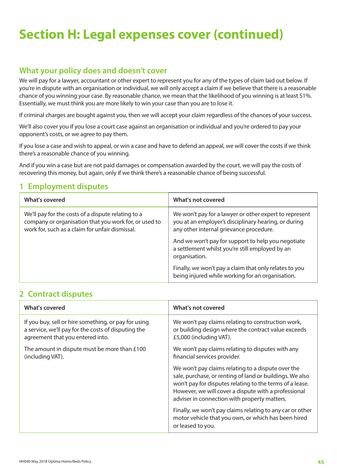#### **What your policy does and doesn't cover**

We will pay for a lawyer, accountant or other expert to represent you for any of the types of claim laid out below. If you're in dispute with an organisation or individual, we will only accept a claim if we believe that there is a reasonable chance of you winning your case. By reasonable chance, we mean that the likelihood of you winning is at least 51%. Essentially, we must think you are more likely to win your case than you are to lose it.

If criminal charges are bought against you, then we will accept your claim regardless of the chances of your success.

We'll also cover you if you lose a court case against an organisation or individual and you're ordered to pay your opponent's costs, or we agree to pay them.

If you lose a case and wish to appeal, or win a case and have to defend an appeal, we will cover the costs if we think there's a reasonable chance of you winning.

And if you win a case but are not paid damages or compensation awarded by the court, we will pay the costs of recovering this money, but again, only if we think there's a reasonable chance of being successful.

#### **1 Employment disputes**

| What's covered                                                                                                                                                 | What's not covered                                                                                                                                        |
|----------------------------------------------------------------------------------------------------------------------------------------------------------------|-----------------------------------------------------------------------------------------------------------------------------------------------------------|
| We'll pay for the costs of a dispute relating to a<br>company or organisation that you work for, or used to<br>work for, such as a claim for unfair dismissal. | We won't pay for a lawyer or other expert to represent<br>you at an employer's disciplinary hearing, or during<br>any other internal grievance procedure. |
|                                                                                                                                                                | And we won't pay for support to help you negotiate<br>a settlement whilst you're still employed by an<br>organisation.                                    |
|                                                                                                                                                                | Finally, we won't pay a claim that only relates to you<br>being injured while working for an organisation.                                                |

#### **2 Contract disputes**

| <b>What's covered</b>                                                                                                                           | What's not covered                                                                                                                                                                                                                                                                 |
|-------------------------------------------------------------------------------------------------------------------------------------------------|------------------------------------------------------------------------------------------------------------------------------------------------------------------------------------------------------------------------------------------------------------------------------------|
| If you buy, sell or hire something, or pay for using<br>a service, we'll pay for the costs of disputing the<br>agreement that you entered into. | We won't pay claims relating to construction work,<br>or building design where the contract value exceeds<br>£5,000 (including VAT).                                                                                                                                               |
| The amount in dispute must be more than £100<br>(including VAT).                                                                                | We won't pay claims relating to disputes with any<br>financial services provider.                                                                                                                                                                                                  |
|                                                                                                                                                 | We won't pay claims relating to a dispute over the<br>sale, purchase, or renting of land or buildings. We also<br>won't pay for disputes relating to the terms of a lease.<br>However, we will cover a dispute with a professional<br>adviser in connection with property matters. |
|                                                                                                                                                 | Finally, we won't pay claims relating to any car or other<br>motor vehicle that you own, or which has been hired<br>or leased to you.                                                                                                                                              |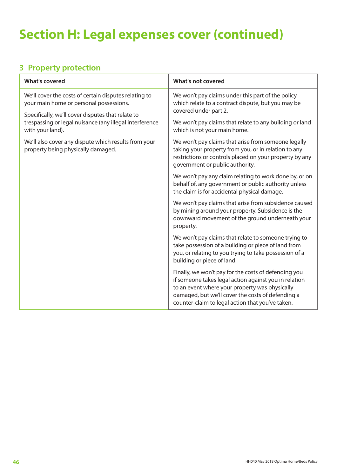### **3 Property protection**

| <b>What's covered</b>                                                                                                            | What's not covered                                                                                                                                                                                                                                                       |
|----------------------------------------------------------------------------------------------------------------------------------|--------------------------------------------------------------------------------------------------------------------------------------------------------------------------------------------------------------------------------------------------------------------------|
| We'll cover the costs of certain disputes relating to<br>your main home or personal possessions.                                 | We won't pay claims under this part of the policy<br>which relate to a contract dispute, but you may be<br>covered under part 2.                                                                                                                                         |
| Specifically, we'll cover disputes that relate to<br>trespassing or legal nuisance (any illegal interference<br>with your land). | We won't pay claims that relate to any building or land<br>which is not your main home.                                                                                                                                                                                  |
| We'll also cover any dispute which results from your<br>property being physically damaged.                                       | We won't pay claims that arise from someone legally<br>taking your property from you, or in relation to any<br>restrictions or controls placed on your property by any<br>government or public authority.                                                                |
|                                                                                                                                  | We won't pay any claim relating to work done by, or on<br>behalf of, any government or public authority unless<br>the claim is for accidental physical damage.                                                                                                           |
|                                                                                                                                  | We won't pay claims that arise from subsidence caused<br>by mining around your property. Subsidence is the<br>downward movement of the ground underneath your<br>property.                                                                                               |
|                                                                                                                                  | We won't pay claims that relate to someone trying to<br>take possession of a building or piece of land from<br>you, or relating to you trying to take possession of a<br>building or piece of land.                                                                      |
|                                                                                                                                  | Finally, we won't pay for the costs of defending you<br>if someone takes legal action against you in relation<br>to an event where your property was physically<br>damaged, but we'll cover the costs of defending a<br>counter-claim to legal action that you've taken. |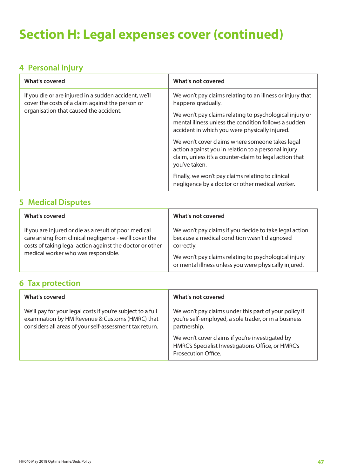### **4 Personal injury**

| What's covered                                                                                                                                      | What's not covered                                                                                                                                                                 |
|-----------------------------------------------------------------------------------------------------------------------------------------------------|------------------------------------------------------------------------------------------------------------------------------------------------------------------------------------|
| If you die or are injured in a sudden accident, we'll<br>cover the costs of a claim against the person or<br>organisation that caused the accident. | We won't pay claims relating to an illness or injury that<br>happens gradually.                                                                                                    |
|                                                                                                                                                     | We won't pay claims relating to psychological injury or<br>mental illness unless the condition follows a sudden<br>accident in which you were physically injured.                  |
|                                                                                                                                                     | We won't cover claims where someone takes legal<br>action against you in relation to a personal injury<br>claim, unless it's a counter-claim to legal action that<br>you've taken. |
|                                                                                                                                                     | Finally, we won't pay claims relating to clinical<br>negligence by a doctor or other medical worker.                                                                               |

### **5 Medical Disputes**

| What's covered                                                                                                                                                                                                      | What's not covered                                                                                                                                                                                                                    |
|---------------------------------------------------------------------------------------------------------------------------------------------------------------------------------------------------------------------|---------------------------------------------------------------------------------------------------------------------------------------------------------------------------------------------------------------------------------------|
| If you are injured or die as a result of poor medical<br>care arising from clinical negligence - we'll cover the<br>costs of taking legal action against the doctor or other<br>medical worker who was responsible. | We won't pay claims if you decide to take legal action<br>because a medical condition wasn't diagnosed<br>correctly.<br>We won't pay claims relating to psychological injury<br>or mental illness unless you were physically injured. |

### **6 Tax protection**

| What's covered                                                                                                                                                           | What's not covered                                                                                                             |
|--------------------------------------------------------------------------------------------------------------------------------------------------------------------------|--------------------------------------------------------------------------------------------------------------------------------|
| We'll pay for your legal costs if you're subject to a full<br>examination by HM Revenue & Customs (HMRC) that<br>considers all areas of your self-assessment tax return. | We won't pay claims under this part of your policy if<br>you're self-employed, a sole trader, or in a business<br>partnership. |
|                                                                                                                                                                          | We won't cover claims if you're investigated by<br>HMRC's Specialist Investigations Office, or HMRC's<br>Prosecution Office.   |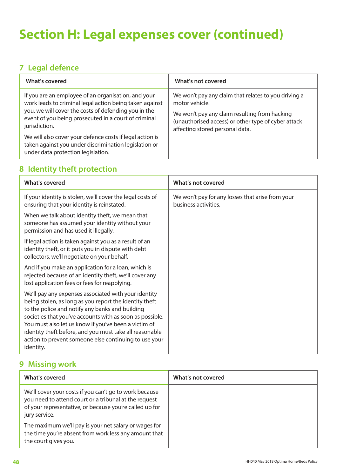### **7 Legal defence**

| What's covered                                                                                                                                                                                                                                                                                                                                                                                             | What's not covered                                                                                                                                                                                                |
|------------------------------------------------------------------------------------------------------------------------------------------------------------------------------------------------------------------------------------------------------------------------------------------------------------------------------------------------------------------------------------------------------------|-------------------------------------------------------------------------------------------------------------------------------------------------------------------------------------------------------------------|
| If you are an employee of an organisation, and your<br>work leads to criminal legal action being taken against<br>you, we will cover the costs of defending you in the<br>event of you being prosecuted in a court of criminal<br>jurisdiction.<br>We will also cover your defence costs if legal action is<br>taken against you under discrimination legislation or<br>under data protection legislation. | We won't pay any claim that relates to you driving a<br>motor vehicle.<br>We won't pay any claim resulting from hacking<br>(unauthorised access) or other type of cyber attack<br>affecting stored personal data. |

### **8 Identity theft protection**

| What's covered                                                                                                                                                                                                                                                                                                                                                                                                         | <b>What's not covered</b>                                                |
|------------------------------------------------------------------------------------------------------------------------------------------------------------------------------------------------------------------------------------------------------------------------------------------------------------------------------------------------------------------------------------------------------------------------|--------------------------------------------------------------------------|
| If your identity is stolen, we'll cover the legal costs of<br>ensuring that your identity is reinstated.                                                                                                                                                                                                                                                                                                               | We won't pay for any losses that arise from your<br>business activities. |
| When we talk about identity theft, we mean that<br>someone has assumed your identity without your<br>permission and has used it illegally.                                                                                                                                                                                                                                                                             |                                                                          |
| If legal action is taken against you as a result of an<br>identity theft, or it puts you in dispute with debt<br>collectors, we'll negotiate on your behalf.                                                                                                                                                                                                                                                           |                                                                          |
| And if you make an application for a loan, which is<br>rejected because of an identity theft, we'll cover any<br>lost application fees or fees for reapplying.                                                                                                                                                                                                                                                         |                                                                          |
| We'll pay any expenses associated with your identity<br>being stolen, as long as you report the identity theft<br>to the police and notify any banks and building<br>societies that you've accounts with as soon as possible.<br>You must also let us know if you've been a victim of<br>identity theft before, and you must take all reasonable<br>action to prevent someone else continuing to use your<br>identity. |                                                                          |

### **9 Missing work**

| What's covered                                                                                                                                                                              | What's not covered |
|---------------------------------------------------------------------------------------------------------------------------------------------------------------------------------------------|--------------------|
| We'll cover your costs if you can't go to work because<br>you need to attend court or a tribunal at the request<br>of your representative, or because you're called up for<br>jury service. |                    |
| The maximum we'll pay is your net salary or wages for<br>the time you're absent from work less any amount that<br>the court gives you.                                                      |                    |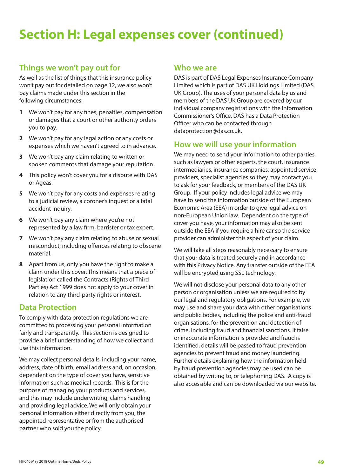#### **Things we won't pay out for**

As well as the list of things that this insurance policy won't pay out for detailed on page 12, we also won't pay claims made under this section in the following circumstances:

- **1** We won't pay for any fines, penalties, compensation or damages that a court or other authority orders you to pay.
- **2** We won't pay for any legal action or any costs or expenses which we haven't agreed to in advance.
- **3** We won't pay any claim relating to written or spoken comments that damage your reputation.
- **4** This policy won't cover you for a dispute with DAS or Ageas.
- **5** We won't pay for any costs and expenses relating to a judicial review, a coroner's inquest or a fatal accident inquiry.
- **6** We won't pay any claim where you're not represented by a law firm, barrister or tax expert.
- **7** We won't pay any claim relating to abuse or sexual misconduct, including offences relating to obscene material.
- **8** Apart from us, only you have the right to make a claim under this cover. This means that a piece of legislation called the Contracts (Rights of Third Parties) Act 1999 does not apply to your cover in relation to any third-party rights or interest.

#### **Data Protection**

To comply with data protection regulations we are committed to processing your personal information fairly and transparently. This section is designed to provide a brief understanding of how we collect and use this information.

We may collect personal details, including your name, address, date of birth, email address and, on occasion, dependent on the type of cover you have, sensitive information such as medical records. This is for the purpose of managing your products and services, and this may include underwriting, claims handling and providing legal advice. We will only obtain your personal information either directly from you, the appointed representative or from the authorised partner who sold you the policy.

#### **Who we are**

DAS is part of DAS Legal Expenses Insurance Company Limited which is part of DAS UK Holdings Limited (DAS UK Group). The uses of your personal data by us and members of the DAS UK Group are covered by our individual company registrations with the Information Commissioner's Office. DAS has a Data Protection Officer who can be contacted through dataprotection@das.co.uk.

#### **How we will use your information**

We may need to send your information to other parties, such as lawyers or other experts, the court, insurance intermediaries, insurance companies, appointed service providers, specialist agencies so they may contact you to ask for your feedback, or members of the DAS UK Group. If your policy includes legal advice we may have to send the information outside of the European Economic Area (EEA) in order to give legal advice on non-European Union law. Dependent on the type of cover you have, your information may also be sent outside the EEA if you require a hire car so the service provider can administer this aspect of your claim.

We will take all steps reasonably necessary to ensure that your data is treated securely and in accordance with this Privacy Notice. Any transfer outside of the EEA will be encrypted using SSL technology.

We will not disclose your personal data to any other person or organisation unless we are required to by our legal and regulatory obligations. For example, we may use and share your data with other organisations and public bodies, including the police and anti-fraud organisations, for the prevention and detection of crime, including fraud and financial sanctions. If false or inaccurate information is provided and fraud is identified, details will be passed to fraud prevention agencies to prevent fraud and money laundering. Further details explaining how the information held by fraud prevention agencies may be used can be obtained by writing to, or telephoning DAS. A copy is also accessible and can be downloaded via our website.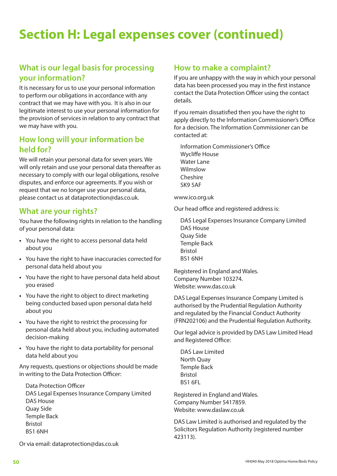#### **What is our legal basis for processing your information?**

It is necessary for us to use your personal information to perform our obligations in accordance with any contract that we may have with you. It is also in our legitimate interest to use your personal information for the provision of services in relation to any contract that we may have with you.

#### **How long will your information be held for?**

We will retain your personal data for seven years. We will only retain and use your personal data thereafter as necessary to comply with our legal obligations, resolve disputes, and enforce our agreements. If you wish or request that we no longer use your personal data, please contact us at dataprotection@das.co.uk.

#### **What are your rights?**

You have the following rights in relation to the handling of your personal data:

- **•** You have the right to access personal data held about you
- **•** You have the right to have inaccuracies corrected for personal data held about you
- **•** You have the right to have personal data held about you erased
- **•** You have the right to object to direct marketing being conducted based upon personal data held about you
- **•** You have the right to restrict the processing for personal data held about you, including automated decision-making
- **•** You have the right to data portability for personal data held about you

Any requests, questions or objections should be made in writing to the Data Protection Officer:

Data Protection Officer DAS Legal Expenses Insurance Company Limited DAS House Quay Side Temple Back Bristol BS1 6NH

Or via email: dataprotection@das.co.uk

#### **How to make a complaint?**

If you are unhappy with the way in which your personal data has been processed you may in the first instance contact the Data Protection Officer using the contact details.

If you remain dissatisfied then you have the right to apply directly to the Information Commissioner's Office for a decision. The Information Commissioner can be contacted at:

Information Commissioner's Office Wycliffe House Water Lane Wilmslow Cheshire SK9 5AF

www.ico.org.uk

Our head office and registered address is:

DAS Legal Expenses Insurance Company Limited DAS House Quay Side Temple Back Bristol BS1 6NH

Registered in England and Wales. Company Number 103274. Website: www.das.co.uk

DAS Legal Expenses Insurance Company Limited is authorised by the Prudential Regulation Authority and regulated by the Financial Conduct Authority (FRN202106) and the Prudential Regulation Authority.

Our legal advice is provided by DAS Law Limited Head and Registered Office:

DAS Law Limited North Quay Temple Back Bristol BS1 6FL

Registered in England and Wales. Company Number 5417859. Website: www.daslaw.co.uk

DAS Law Limited is authorised and regulated by the Solicitors Regulation Authority (registered number 423113).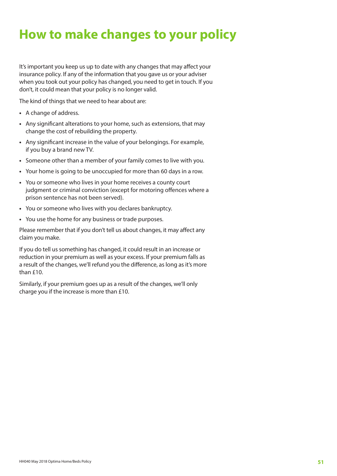# **How to make changes to your policy**

It's important you keep us up to date with any changes that may affect your insurance policy. If any of the information that you gave us or your adviser when you took out your policy has changed, you need to get in touch. If you don't, it could mean that your policy is no longer valid.

The kind of things that we need to hear about are:

- **•** A change of address.
- **•** Any significant alterations to your home, such as extensions, that may change the cost of rebuilding the property.
- **•** Any significant increase in the value of your belongings. For example, if you buy a brand new TV.
- **•** Someone other than a member of your family comes to live with you.
- **•** Your home is going to be unoccupied for more than 60 days in a row.
- **•** You or someone who lives in your home receives a county court judgment or criminal conviction (except for motoring offences where a prison sentence has not been served).
- **•** You or someone who lives with you declares bankruptcy.
- **•** You use the home for any business or trade purposes.

Please remember that if you don't tell us about changes, it may affect any claim you make.

If you do tell us something has changed, it could result in an increase or reduction in your premium as well as your excess. If your premium falls as a result of the changes, we'll refund you the difference, as long as it's more than £10.

Similarly, if your premium goes up as a result of the changes, we'll only charge you if the increase is more than £10.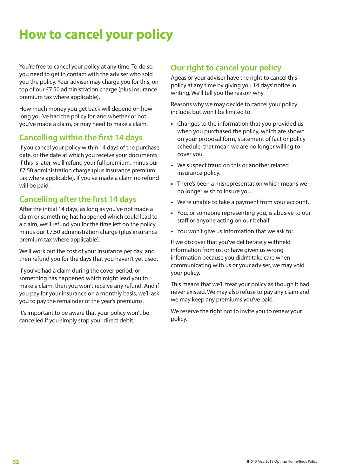# **How to cancel your policy**

You're free to cancel your policy at any time. To do so, you need to get in contact with the adviser who sold you the policy. Your adviser may charge you for this, on top of our £7.50 administration charge (plus insurance premium tax where applicable).

How much money you get back will depend on how long you've had the policy for, and whether or not you've made a claim, or may need to make a claim.

#### **Cancelling within the first 14 days**

If you cancel your policy within 14 days of the purchase date, or the date at which you receive your documents, if this is later, we'll refund your full premium, minus our £7.50 administration charge (plus insurance premium tax where applicable). If you've made a claim no refund will be paid.

#### **Cancelling after the first 14 days**

After the initial 14 days, as long as you've not made a claim or something has happened which could lead to a claim, we'll refund you for the time left on the policy, minus our £7.50 administration charge (plus insurance premium tax where applicable).

We'll work out the cost of your insurance per day, and then refund you for the days that you haven't yet used.

If you've had a claim during the cover period, or something has happened which might lead you to make a claim, then you won't receive any refund. And if you pay for your insurance on a monthly basis, we'll ask you to pay the remainder of the year's premiums.

It's important to be aware that your policy won't be cancelled if you simply stop your direct debit.

### **Our right to cancel your policy**

Ageas or your adviser have the right to cancel this policy at any time by giving you 14 days' notice in writing. We'll tell you the reason why.

Reasons why we may decide to cancel your policy include, but won't be limited to:

- **•** Changes to the information that you provided us when you purchased the policy, which are shown on your proposal form, statement of fact or policy schedule, that mean we are no longer willing to cover you.
- **•** We suspect fraud on this or another related insurance policy.
- **•** There's been a misrepresentation which means we no longer wish to insure you.
- **•** We're unable to take a payment from your account.
- **•** You, or someone representing you, is abusive to our staff or anyone acting on our behalf.
- **•** You won't give us information that we ask for.

If we discover that you've deliberately withheld information from us, or have given us wrong information because you didn't take care when communicating with us or your adviser, we may void your policy.

This means that we'll treat your policy as though it had never existed. We may also refuse to pay any claim and we may keep any premiums you've paid.

We reserve the right not to invite you to renew your policy.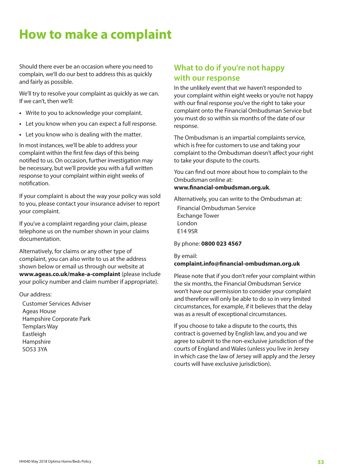# **How to make a complaint**

Should there ever be an occasion where you need to complain, we'll do our best to address this as quickly and fairly as possible.

We'll try to resolve your complaint as quickly as we can. If we can't, then we'll:

- **•** Write to you to acknowledge your complaint.
- **•** Let you know when you can expect a full response.
- **•** Let you know who is dealing with the matter.

In most instances, we'll be able to address your complaint within the first few days of this being notified to us. On occasion, further investigation may be necessary, but we'll provide you with a full written response to your complaint within eight weeks of notification.

If your complaint is about the way your policy was sold to you, please contact your insurance adviser to report your complaint.

If you've a complaint regarding your claim, please telephone us on the number shown in your claims documentation.

Alternatively, for claims or any other type of complaint, you can also write to us at the address shown below or email us through our website at **www.ageas.co.uk/make-a-complaint** (please include your policy number and claim number if appropriate).

#### Our address:

Customer Services Adviser Ageas House Hampshire Corporate Park Templars Way Eastleigh Hampshire SO53 3YA

#### **What to do if you're not happy with our response**

In the unlikely event that we haven't responded to your complaint within eight weeks or you're not happy with our final response you've the right to take your complaint onto the Financial Ombudsman Service but you must do so within six months of the date of our response.

The Ombudsman is an impartial complaints service, which is free for customers to use and taking your complaint to the Ombudsman doesn't affect your right to take your dispute to the courts.

You can find out more about how to complain to the Ombudsman online at: **www.financial-ombudsman.org.uk**.

Alternatively, you can write to the Ombudsman at:

Financial Ombudsman Service Exchange Tower London E14 9SR

By phone: **0800 023 4567**

#### By email: **complaint.info@financial-ombudsman.org.uk**

Please note that if you don't refer your complaint within the six months, the Financial Ombudsman Service won't have our permission to consider your complaint and therefore will only be able to do so in very limited circumstances, for example, if it believes that the delay was as a result of exceptional circumstances.

If you choose to take a dispute to the courts, this contract is governed by English law, and you and we agree to submit to the non-exclusive jurisdiction of the courts of England and Wales (unless you live in Jersey in which case the law of Jersey will apply and the Jersey courts will have exclusive jurisdiction).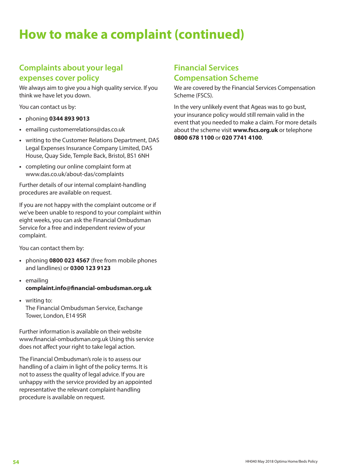# **How to make a complaint (continued)**

#### **Complaints about your legal expenses cover policy**

We always aim to give you a high quality service. If you think we have let you down.

You can contact us by:

- **•** phoning **0344 893 9013**
- **•** emailing customerrelations@das.co.uk
- **•** writing to the Customer Relations Department, DAS Legal Expenses Insurance Company Limited, DAS House, Quay Side, Temple Back, Bristol, BS1 6NH
- **•** completing our online complaint form at www.das.co.uk/about-das/complaints

Further details of our internal complaint-handling procedures are available on request.

If you are not happy with the complaint outcome or if we've been unable to respond to your complaint within eight weeks, you can ask the Financial Ombudsman Service for a free and independent review of your complaint.

You can contact them by:

- **•** phoning **0800 023 4567** (free from mobile phones and landlines) or **0300 123 9123**
- **•** emailing **complaint.info@financial-ombudsman.org.uk**
- **•** writing to: The Financial Ombudsman Service, Exchange Tower, London, E14 9SR

Further information is available on their website www.financial-ombudsman.org.uk Using this service does not affect your right to take legal action.

The Financial Ombudsman's role is to assess our handling of a claim in light of the policy terms. It is not to assess the quality of legal advice. If you are unhappy with the service provided by an appointed representative the relevant complaint-handling procedure is available on request.

#### **Financial Services Compensation Scheme**

We are covered by the Financial Services Compensation Scheme (FSCS).

In the very unlikely event that Ageas was to go bust, your insurance policy would still remain valid in the event that you needed to make a claim. For more details about the scheme visit **www.fscs.org.uk** or telephone **0800 678 1100** or **020 7741 4100**.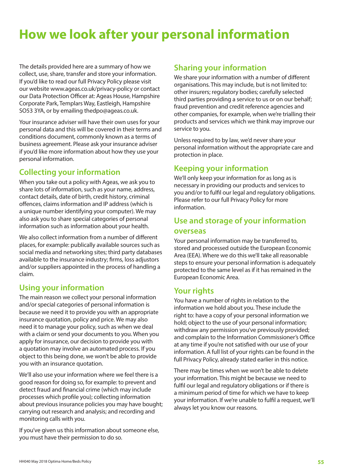# **How we look after your personal information**

The details provided here are a summary of how we collect, use, share, transfer and store your information. If you'd like to read our full Privacy Policy please visit our website www.ageas.co.uk/privacy-policy or contact our Data Protection Officer at: Ageas House, Hampshire Corporate Park, Templars Way, Eastleigh, Hampshire SO53 3YA, or by emailing thedpo@ageas.co.uk.

Your insurance adviser will have their own uses for your personal data and this will be covered in their terms and conditions document, commonly known as a terms of business agreement. Please ask your insurance adviser if you'd like more information about how they use your personal information.

#### **Collecting your information**

When you take out a policy with Ageas, we ask you to share lots of information, such as your name, address, contact details, date of birth, credit history, criminal offences, claims information and IP address (which is a unique number identifying your computer). We may also ask you to share special categories of personal information such as information about your health.

We also collect information from a number of different places, for example: publically available sources such as social media and networking sites; third party databases available to the insurance industry; firms, loss adjustors and/or suppliers appointed in the process of handling a claim.

#### **Using your information**

The main reason we collect your personal information and/or special categories of personal information is because we need it to provide you with an appropriate insurance quotation, policy and price. We may also need it to manage your policy, such as when we deal with a claim or send your documents to you. When you apply for insurance, our decision to provide you with a quotation may involve an automated process. If you object to this being done, we won't be able to provide you with an insurance quotation.

We'll also use your information where we feel there is a good reason for doing so, for example: to prevent and detect fraud and financial crime (which may include processes which profile you); collecting information about previous insurance policies you may have bought; carrying out research and analysis; and recording and monitoring calls with you.

If you've given us this information about someone else, you must have their permission to do so.

#### **Sharing your information**

We share your information with a number of different organisations. This may include, but is not limited to: other insurers; regulatory bodies; carefully selected third parties providing a service to us or on our behalf; fraud prevention and credit reference agencies and other companies, for example, when we're trialling their products and services which we think may improve our service to you.

Unless required to by law, we'd never share your personal information without the appropriate care and protection in place.

#### **Keeping your information**

We'll only keep your information for as long as is necessary in providing our products and services to you and/or to fulfil our legal and regulatory obligations. Please refer to our full Privacy Policy for more information.

### **Use and storage of your information overseas**

Your personal information may be transferred to, stored and processed outside the European Economic Area (EEA). Where we do this we'll take all reasonable steps to ensure your personal information is adequately protected to the same level as if it has remained in the European Economic Area.

#### **Your rights**

You have a number of rights in relation to the information we hold about you. These include the right to: have a copy of your personal information we hold; object to the use of your personal information; withdraw any permission you've previously provided; and complain to the Information Commissioner's Office at any time if you're not satisfied with our use of your information. A full list of your rights can be found in the full Privacy Policy, already stated earlier in this notice.

There may be times when we won't be able to delete your information. This might be because we need to fulfil our legal and regulatory obligations or if there is a minimum period of time for which we have to keep your information. If we're unable to fulfil a request, we'll always let you know our reasons.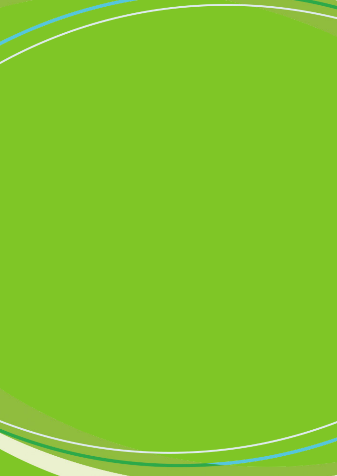